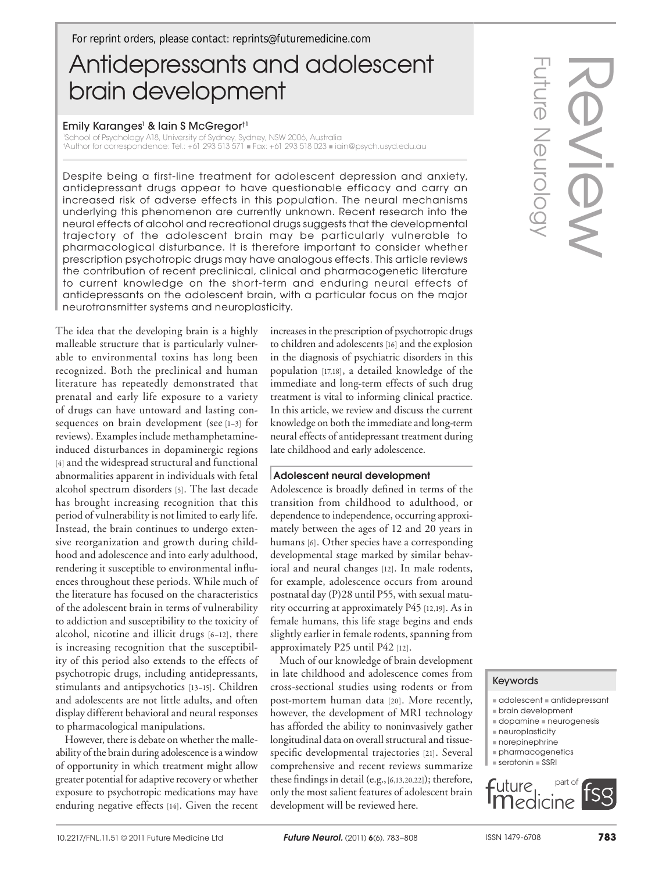*For reprint orders, please contact: reprints@futuremedicine.com*

# Antidepressants and adolescent brain development

## Emily Karanges1 & Iain S McGregor†1

'School of Psychology A18, University of Sydney, Sydney, NSW 2006, Australia<br>†Author for correspondence: Tel.: +61 293 513 571 = Fax: +61 293 518 023 = iain@psych.usyd.edu.au

Despite being a first-line treatment for adolescent depression and anxiety, antidepressant drugs appear to have questionable efficacy and carry an increased risk of adverse effects in this population. The neural mechanisms underlying this phenomenon are currently unknown. Recent research into the neural effects of alcohol and recreational drugs suggests that the developmental trajectory of the adolescent brain may be particularly vulnerable to pharmacological disturbance. It is therefore important to consider whether prescription psychotropic drugs may have analogous effects. This article reviews the contribution of recent preclinical, clinical and pharmacogenetic literature to current knowledge on the short-term and enduring neural effects of antidepressants on the adolescent brain, with a particular focus on the major neurotransmitter systems and neuroplasticity.

The idea that the developing brain is a highly malleable structure that is particularly vulnerable to environmental toxins has long been recognized. Both the preclinical and human literature has repeatedly demonstrated that prenatal and early life exposure to a variety of drugs can have untoward and lasting consequences on brain development (see [1–3] for reviews). Examples include methamphetamineinduced disturbances in dopaminergic regions [4] and the widespread structural and functional abnormalities apparent in individuals with fetal alcohol spectrum disorders [5]. The last decade has brought increasing recognition that this period of vulnerability is not limited to early life. Instead, the brain continues to undergo extensive reorganization and growth during childhood and adolescence and into early adulthood, rendering it susceptible to environmental influences throughout these periods. While much of the literature has focused on the characteristics of the adolescent brain in terms of vulnerability to addiction and susceptibility to the toxicity of alcohol, nicotine and illicit drugs [6–12], there is increasing recognition that the susceptibility of this period also extends to the effects of psychotropic drugs, including antidepressants, stimulants and antipsychotics [13–15]. Children and adolescents are not little adults, and often

to pharmacological manipulations. However, there is debate on whether the malleability of the brain during adolescence is a window of opportunity in which treatment might allow greater potential for adaptive recovery or whether exposure to psychotropic medications may have enduring negative effects [14]. Given the recent

display different behavioral and neural responses

increases in the prescription of psychotropic drugs to children and adolescents [16] and the explosion in the diagnosis of psychiatric disorders in this population [17,18], a detailed knowledge of the immediate and long-term effects of such drug treatment is vital to informing clinical practice. In this article, we review and discuss the current knowledge on both the immediate and long-term neural effects of antidepressant treatment during late childhood and early adolescence.

#### Adolescent neural development

Adolescence is broadly defined in terms of the transition from childhood to adulthood, or dependence to independence, occurring approximately between the ages of 12 and 20 years in humans [6]. Other species have a corresponding developmental stage marked by similar behavioral and neural changes [12]. In male rodents, for example, adolescence occurs from around postnatal day (P)28 until P55, with sexual maturity occurring at approximately P45 [12,19]. As in female humans, this life stage begins and ends slightly earlier in female rodents, spanning from approximately P25 until P42 [12].

Much of our knowledge of brain development in late childhood and adolescence comes from cross-sectional studies using rodents or from post-mortem human data [20]. More recently, however, the development of MRI technology has afforded the ability to noninvasively gather longitudinal data on overall structural and tissuespecific developmental trajectories [21]. Several comprehensive and recent reviews summarize these findings in detail (e.g., [6,13,20,22]); therefore, only the most salient features of adolescent brain development will be reviewed here.

edicine

part of

# Keywords

- $a$  adolescent  $a$  antidepressant
- n brain development
- $a$  dopamine  $a$  neurogenesis
- n neuroplasticity
- $n$  norepinephrine
- n pharmacogenetics
- $s$  serotonin  $s$  SSRI

**f**uture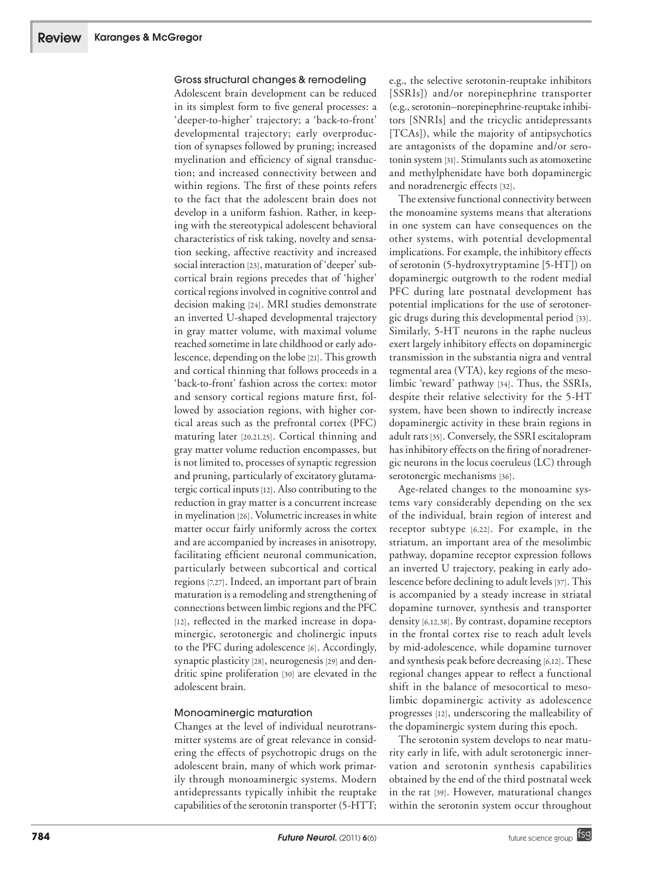#### Gross structural changes & remodeling

Adolescent brain development can be reduced in its simplest form to five general processes: a 'deeper-to-higher' trajectory; a 'back-to-front' developmental trajectory; early overproduction of synapses followed by pruning; increased myelination and efficiency of signal transduction; and increased connectivity between and within regions. The first of these points refers to the fact that the adolescent brain does not develop in a uniform fashion. Rather, in keeping with the stereotypical adolescent behavioral characteristics of risk taking, novelty and sensation seeking, affective reactivity and increased social interaction [23], maturation of 'deeper' subcortical brain regions precedes that of 'higher' cortical regions involved in cognitive control and decision making [24]. MRI studies demonstrate an inverted U-shaped developmental trajectory in gray matter volume, with maximal volume reached sometime in late childhood or early adolescence, depending on the lobe [21]. This growth and cortical thinning that follows proceeds in a 'back-to-front' fashion across the cortex: motor and sensory cortical regions mature first, followed by association regions, with higher cortical areas such as the prefrontal cortex (PFC) maturing later [20,21,25]. Cortical thinning and gray matter volume reduction encompasses, but is not limited to, processes of synaptic regression and pruning, particularly of excitatory glutamatergic cortical inputs [12]. Also contributing to the reduction in gray matter is a concurrent increase in myelination [26]. Volumetric increases in white matter occur fairly uniformly across the cortex and are accompanied by increases in anisotropy, facilitating efficient neuronal communication, particularly between subcortical and cortical regions [7,27]. Indeed, an important part of brain maturation is a remodeling and strengthening of connections between limbic regions and the PFC [12], reflected in the marked increase in dopaminergic, serotonergic and cholinergic inputs to the PFC during adolescence [6]. Accordingly, synaptic plasticity [28], neurogenesis [29] and dendritic spine proliferation [30] are elevated in the adolescent brain.

#### Monoaminergic maturation

Changes at the level of individual neurotransmitter systems are of great relevance in considering the effects of psychotropic drugs on the adolescent brain, many of which work primarily through monoaminergic systems. Modern antidepressants typically inhibit the reuptake capabilities of the serotonin transporter (5-HTT; e.g., the selective serotonin-reuptake inhibitors [SSRIs]) and/or norepinephrine transporter (e.g., serotonin–norepinephrine-reuptake inhibitors [SNRIs] and the tricyclic antidepressants [TCAs]), while the majority of antipsychotics are antagonists of the dopamine and/or serotonin system [31]. Stimulants such as atomoxetine and methylphenidate have both dopaminergic and noradrenergic effects [32].

The extensive functional connectivity between the monoamine systems means that alterations in one system can have consequences on the other systems, with potential developmental implications. For example, the inhibitory effects of serotonin (5-hydroxytryptamine [5-HT]) on dopaminergic outgrowth to the rodent medial PFC during late postnatal development has potential implications for the use of serotonergic drugs during this developmental period [33]. Similarly, 5-HT neurons in the raphe nucleus exert largely inhibitory effects on dopaminergic transmission in the substantia nigra and ventral tegmental area (VTA), key regions of the mesolimbic 'reward' pathway [34]. Thus, the SSRIs, despite their relative selectivity for the 5-HT system, have been shown to indirectly increase dopaminergic activity in these brain regions in adult rats [35]. Conversely, the SSRI escitalopram has inhibitory effects on the firing of noradrenergic neurons in the locus coeruleus (LC) through serotonergic mechanisms [36].

Age-related changes to the monoamine systems vary considerably depending on the sex of the individual, brain region of interest and receptor subtype [6,22]. For example, in the striatum, an important area of the mesolimbic pathway, dopamine receptor expression follows an inverted U trajectory, peaking in early adolescence before declining to adult levels [37]. This is accompanied by a steady increase in striatal dopamine turnover, synthesis and transporter density [6,12,38]. By contrast, dopamine receptors in the frontal cortex rise to reach adult levels by mid-adolescence, while dopamine turnover and synthesis peak before decreasing [6,12]. These regional changes appear to reflect a functional shift in the balance of mesocortical to mesolimbic dopaminergic activity as adolescence progresses [12], underscoring the malleability of the dopaminergic system during this epoch.

The serotonin system develops to near maturity early in life, with adult serotonergic innervation and serotonin synthesis capabilities obtained by the end of the third postnatal week in the rat [39]. However, maturational changes within the serotonin system occur throughout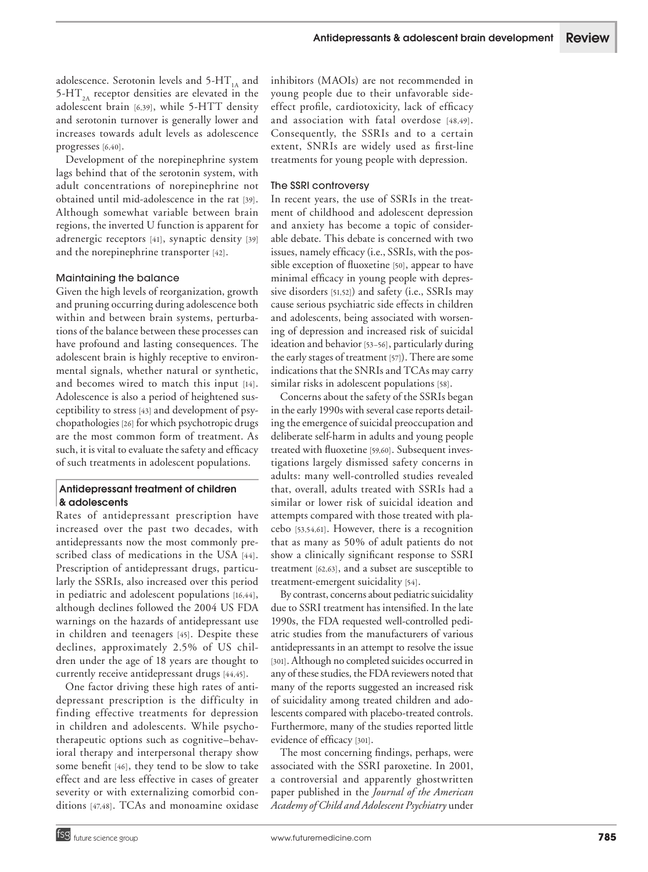adolescence. Serotonin levels and  $5-HT<sub>1A</sub>$  and 5-HT $_{24}$  receptor densities are elevated in the adolescent brain [6,39], while 5-HTT density and serotonin turnover is generally lower and increases towards adult levels as adolescence progresses [6,40].

Development of the norepinephrine system lags behind that of the serotonin system, with adult concentrations of norepinephrine not obtained until mid-adolescence in the rat [39]. Although somewhat variable between brain regions, the inverted U function is apparent for adrenergic receptors [41], synaptic density [39] and the norepinephrine transporter [42].

# Maintaining the balance

Given the high levels of reorganization, growth and pruning occurring during adolescence both within and between brain systems, perturbations of the balance between these processes can have profound and lasting consequences. The adolescent brain is highly receptive to environmental signals, whether natural or synthetic, and becomes wired to match this input [14]. Adolescence is also a period of heightened susceptibility to stress [43] and development of psychopathologies [26] for which psychotropic drugs are the most common form of treatment. As such, it is vital to evaluate the safety and efficacy of such treatments in adolescent populations.

# Antidepressant treatment of children & adolescents

Rates of antidepressant prescription have increased over the past two decades, with antidepressants now the most commonly prescribed class of medications in the USA [44]. Prescription of antidepressant drugs, particularly the SSRIs, also increased over this period in pediatric and adolescent populations [16,44], although declines followed the 2004 US FDA warnings on the hazards of antidepressant use in children and teenagers [45]. Despite these declines, approximately 2.5% of US children under the age of 18 years are thought to currently receive antidepressant drugs [44,45].

One factor driving these high rates of antidepressant prescription is the difficulty in finding effective treatments for depression in children and adolescents. While psychotherapeutic options such as cognitive–behavioral therapy and interpersonal therapy show some benefit [46], they tend to be slow to take effect and are less effective in cases of greater severity or with externalizing comorbid conditions [47,48]. TCAs and monoamine oxidase inhibitors (MAOIs) are not recommended in young people due to their unfavorable sideeffect profile, cardiotoxicity, lack of efficacy and association with fatal overdose [48,49]. Consequently, the SSRIs and to a certain extent, SNRIs are widely used as first-line treatments for young people with depression.

# The SSRI controversy

In recent years, the use of SSRIs in the treatment of childhood and adolescent depression and anxiety has become a topic of considerable debate. This debate is concerned with two issues, namely efficacy (i.e., SSRIs, with the possible exception of fluoxetine [50], appear to have minimal efficacy in young people with depressive disorders [51,52]) and safety (i.e., SSRIs may cause serious psychiatric side effects in children and adolescents, being associated with worsening of depression and increased risk of suicidal ideation and behavior [53–56], particularly during the early stages of treatment [57]). There are some indications that the SNRIs and TCAs may carry similar risks in adolescent populations [58].

Concerns about the safety of the SSRIs began in the early 1990s with several case reports detailing the emergence of suicidal preoccupation and deliberate self-harm in adults and young people treated with fluoxetine [59,60]. Subsequent investigations largely dismissed safety concerns in adults: many well-controlled studies revealed that, overall, adults treated with SSRIs had a similar or lower risk of suicidal ideation and attempts compared with those treated with placebo [53,54,61]. However, there is a recognition that as many as 50% of adult patients do not show a clinically significant response to SSRI treatment [62,63], and a subset are susceptible to treatment-emergent suicidality [54].

By contrast, concerns about pediatric suicidality due to SSRI treatment has intensified. In the late 1990s, the FDA requested well-controlled pediatric studies from the manufacturers of various antidepressants in an attempt to resolve the issue [301]. Although no completed suicides occurred in any of these studies, the FDA reviewers noted that many of the reports suggested an increased risk of suicidality among treated children and adolescents compared with placebo-treated controls. Furthermore, many of the studies reported little evidence of efficacy [301].

The most concerning findings, perhaps, were associated with the SSRI paroxetine. In 2001, a controversial and apparently ghostwritten paper published in the *Journal of the American Academy of Child and Adolescent Psychiatry* under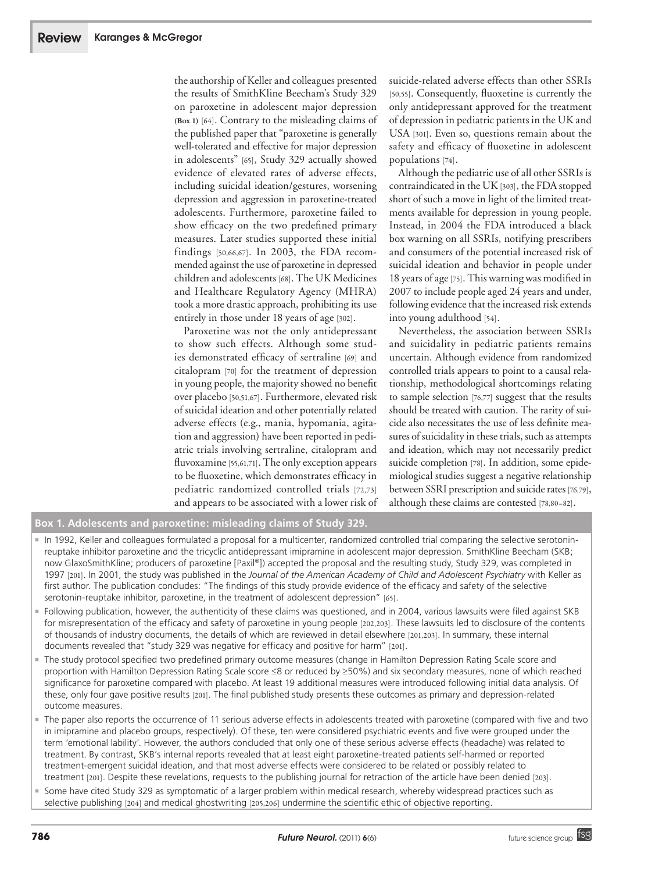the authorship of Keller and colleagues presented the results of SmithKline Beecham's Study 329 on paroxetine in adolescent major depression **(Box 1)** [64]. Contrary to the misleading claims of the published paper that "paroxetine is generally well-tolerated and effective for major depression in adolescents" [65], Study 329 actually showed evidence of elevated rates of adverse effects, including suicidal ideation/gestures, worsening depression and aggression in paroxetine-treated adolescents. Furthermore, paroxetine failed to show efficacy on the two predefined primary measures. Later studies supported these initial findings [50,66,67]. In 2003, the FDA recommended against the use of paroxetine in depressed children and adolescents [68]. The UK Medicines and Healthcare Regulatory Agency (MHRA) took a more drastic approach, prohibiting its use entirely in those under 18 years of age [302].

Paroxetine was not the only antidepressant to show such effects. Although some studies demonstrated efficacy of sertraline [69] and citalopram [70] for the treatment of depression in young people, the majority showed no benefit over placebo [50,51,67]. Furthermore, elevated risk of suicidal ideation and other potentially related adverse effects (e.g., mania, hypomania, agitation and aggression) have been reported in pediatric trials involving sertraline, citalopram and fluvoxamine [55,61,71]. The only exception appears to be fluoxetine, which demonstrates efficacy in pediatric randomized controlled trials [72,73] and appears to be associated with a lower risk of suicide-related adverse effects than other SSRIs [50,55]. Consequently, fluoxetine is currently the only antidepressant approved for the treatment of depression in pediatric patients in the UK and USA [301]. Even so, questions remain about the safety and efficacy of fluoxetine in adolescent populations [74].

Although the pediatric use of all other SSRIs is contraindicated in the UK [303], the FDA stopped short of such a move in light of the limited treatments available for depression in young people. Instead, in 2004 the FDA introduced a black box warning on all SSRIs, notifying prescribers and consumers of the potential increased risk of suicidal ideation and behavior in people under 18 years of age [75]. This warning was modified in 2007 to include people aged 24 years and under, following evidence that the increased risk extends into young adulthood [54].

Nevertheless, the association between SSRIs and suicidality in pediatric patients remains uncertain. Although evidence from randomized controlled trials appears to point to a causal relationship, methodological shortcomings relating to sample selection [76,77] suggest that the results should be treated with caution. The rarity of suicide also necessitates the use of less definite measures of suicidality in these trials, such as attempts and ideation, which may not necessarily predict suicide completion [78]. In addition, some epidemiological studies suggest a negative relationship between SSRI prescription and suicide rates [76,79], although these claims are contested [78,80–82].

**Box 1. Adolescents and paroxetine: misleading claims of Study 329.**

- n 1992, Keller and colleagues formulated a proposal for a multicenter, randomized controlled trial comparing the selective serotoninreuptake inhibitor paroxetine and the tricyclic antidepressant imipramine in adolescent major depression. SmithKline Beecham (SKB; now GlaxoSmithKline; producers of paroxetine [Paxil®]) accepted the proposal and the resulting study, Study 329, was completed in 1997 [201]. In 2001, the study was published in the *Journal of the American Academy of Child and Adolescent Psychiatry* with Keller as first author. The publication concludes: "The findings of this study provide evidence of the efficacy and safety of the selective serotonin-reuptake inhibitor, paroxetine, in the treatment of adolescent depression" [65].
- $=$  Following publication, however, the authenticity of these claims was questioned, and in 2004, various lawsuits were filed against SKB for misrepresentation of the efficacy and safety of paroxetine in young people [202,203]. These lawsuits led to disclosure of the contents of thousands of industry documents, the details of which are reviewed in detail elsewhere [201,203]. In summary, these internal documents revealed that "study 329 was negative for efficacy and positive for harm" [201].
- The study protocol specified two predefined primary outcome measures (change in Hamilton Depression Rating Scale score and proportion with Hamilton Depression Rating Scale score ≤8 or reduced by ≥50%) and six secondary measures, none of which reached significance for paroxetine compared with placebo. At least 19 additional measures were introduced following initial data analysis. Of these, only four gave positive results [201]. The final published study presents these outcomes as primary and depression-related outcome measures.
- <sup>n</sup>The paper also reports the occurrence of 11 serious adverse effects in adolescents treated with paroxetine (compared with five and two in imipramine and placebo groups, respectively). Of these, ten were considered psychiatric events and five were grouped under the term 'emotional lability'. However, the authors concluded that only one of these serious adverse effects (headache) was related to treatment. By contrast, SKB's internal reports revealed that at least eight paroxetine-treated patients self-harmed or reported treatment-emergent suicidal ideation, and that most adverse effects were considered to be related or possibly related to treatment [201]. Despite these revelations, requests to the publishing journal for retraction of the article have been denied [203].
- Some have cited Study 329 as symptomatic of a larger problem within medical research, whereby widespread practices such as selective publishing [204] and medical ghostwriting [205,206] undermine the scientific ethic of objective reporting.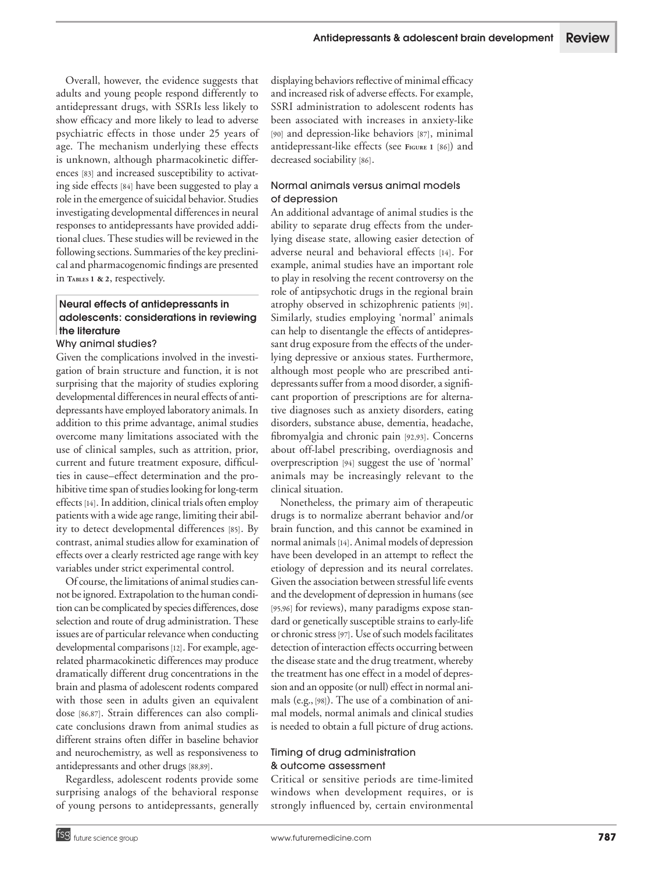Overall, however, the evidence suggests that adults and young people respond differently to antidepressant drugs, with SSRIs less likely to show efficacy and more likely to lead to adverse psychiatric effects in those under 25 years of age. The mechanism underlying these effects is unknown, although pharmacokinetic differences [83] and increased susceptibility to activating side effects [84] have been suggested to play a role in the emergence of suicidal behavior. Studies investigating developmental differences in neural responses to antidepressants have provided additional clues. These studies will be reviewed in the following sections. Summaries of the key preclinical and pharmacogenomic findings are presented in **Tables <sup>1</sup> & <sup>2</sup>**, respectively.

# Neural effects of antidepressants in adolescents: considerations in reviewing the literature

Why animal studies?

Given the complications involved in the investigation of brain structure and function, it is not surprising that the majority of studies exploring developmental differences in neural effects of antidepressants have employed laboratory animals. In addition to this prime advantage, animal studies overcome many limitations associated with the use of clinical samples, such as attrition, prior, current and future treatment exposure, difficulties in cause–effect determination and the prohibitive time span of studies looking for long-term effects [14]. In addition, clinical trials often employ patients with a wide age range, limiting their ability to detect developmental differences [85]. By contrast, animal studies allow for examination of effects over a clearly restricted age range with key variables under strict experimental control.

Of course, the limitations of animal studies cannot be ignored. Extrapolation to the human condition can be complicated by species differences, dose selection and route of drug administration. These issues are of particular relevance when conducting developmental comparisons [12]. For example, agerelated pharmacokinetic differences may produce dramatically different drug concentrations in the brain and plasma of adolescent rodents compared with those seen in adults given an equivalent dose [86,87]. Strain differences can also complicate conclusions drawn from animal studies as different strains often differ in baseline behavior and neurochemistry, as well as responsiveness to antidepressants and other drugs [88,89].

Regardless, adolescent rodents provide some surprising analogs of the behavioral response of young persons to antidepressants, generally displaying behaviors reflective of minimal efficacy and increased risk of adverse effects. For example, SSRI administration to adolescent rodents has been associated with increases in anxiety-like [90] and depression-like behaviors [87], minimal antidepressant-like effects (see **Figure <sup>1</sup>** [86]) and decreased sociability [86].

# Normal animals versus animal models of depression

An additional advantage of animal studies is the ability to separate drug effects from the underlying disease state, allowing easier detection of adverse neural and behavioral effects [14]. For example, animal studies have an important role to play in resolving the recent controversy on the role of antipsychotic drugs in the regional brain atrophy observed in schizophrenic patients [91]. Similarly, studies employing 'normal' animals can help to disentangle the effects of antidepressant drug exposure from the effects of the underlying depressive or anxious states. Furthermore, although most people who are prescribed antidepressants suffer from a mood disorder, a significant proportion of prescriptions are for alternative diagnoses such as anxiety disorders, eating disorders, substance abuse, dementia, headache, fibromyalgia and chronic pain [92,93]. Concerns about off-label prescribing, overdiagnosis and overprescription [94] suggest the use of 'normal' animals may be increasingly relevant to the clinical situation.

Nonetheless, the primary aim of therapeutic drugs is to normalize aberrant behavior and/or brain function, and this cannot be examined in normal animals [14]. Animal models of depression have been developed in an attempt to reflect the etiology of depression and its neural correlates. Given the association between stressful life events and the development of depression in humans (see [95,96] for reviews), many paradigms expose standard or genetically susceptible strains to early-life or chronic stress [97]. Use of such models facilitates detection of interaction effects occurring between the disease state and the drug treatment, whereby the treatment has one effect in a model of depression and an opposite (or null) effect in normal animals (e.g., [98]). The use of a combination of animal models, normal animals and clinical studies is needed to obtain a full picture of drug actions.

# Timing of drug administration & outcome assessment

Critical or sensitive periods are time-limited windows when development requires, or is strongly influenced by, certain environmental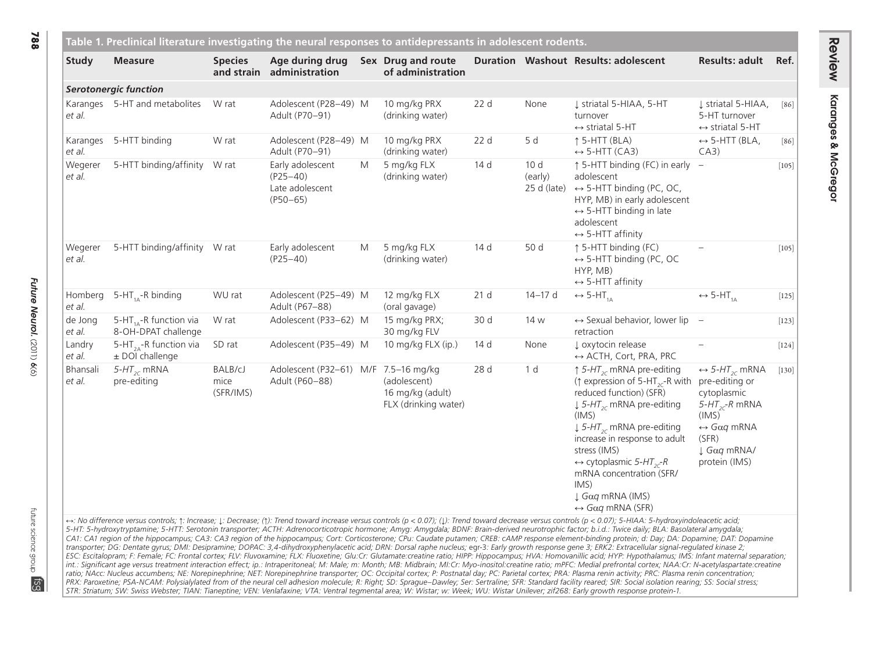| Table 1. Preclinical literature investigating the neural responses to antidepressants in adolescent rodents |  |  |
|-------------------------------------------------------------------------------------------------------------|--|--|
|                                                                                                             |  |  |

| <b>Study</b>       | <b>Measure</b>                                            | <b>Species</b>               | Age during drug<br>and strain administration                        |   | Sex Drug and route<br>of administration                  |                 |                                           | <b>Duration Washout Results: adolescent</b>                                                                                                                                                                                                                                                                                                                                                                                                                        | <b>Results: adult</b>                                                                                                                                                                        | Ref.    |
|--------------------|-----------------------------------------------------------|------------------------------|---------------------------------------------------------------------|---|----------------------------------------------------------|-----------------|-------------------------------------------|--------------------------------------------------------------------------------------------------------------------------------------------------------------------------------------------------------------------------------------------------------------------------------------------------------------------------------------------------------------------------------------------------------------------------------------------------------------------|----------------------------------------------------------------------------------------------------------------------------------------------------------------------------------------------|---------|
|                    | <b>Serotonergic function</b>                              |                              |                                                                     |   |                                                          |                 |                                           |                                                                                                                                                                                                                                                                                                                                                                                                                                                                    |                                                                                                                                                                                              |         |
| et al.             | Karanges 5-HT and metabolites                             | W rat                        | Adolescent (P28-49) M<br>Adult (P70-91)                             |   | 10 mg/kg PRX<br>(drinking water)                         | 22 d            | None                                      | L striatal 5-HIAA, 5-HT<br>turnover<br>$\leftrightarrow$ striatal 5-HT                                                                                                                                                                                                                                                                                                                                                                                             | L striatal 5-HIAA,<br>5-HT turnover<br>$\leftrightarrow$ striatal 5-HT                                                                                                                       | $[86]$  |
| Karanges<br>et al. | 5-HTT binding                                             | W rat                        | Adolescent (P28-49) M<br>Adult (P70-91)                             |   | 10 mg/kg PRX<br>(drinking water)                         | 22d             | 5 d                                       | $\uparrow$ 5-HTT (BLA)<br>$\leftrightarrow$ 5-HTT (CA3)                                                                                                                                                                                                                                                                                                                                                                                                            | $\leftrightarrow$ 5-HTT (BLA,<br>$\mathsf{C}\mathsf{A}3$                                                                                                                                     | $[86]$  |
| Wegerer<br>et al.  | 5-HTT binding/affinity                                    | W rat                        | Early adolescent<br>$(P25 - 40)$<br>Late adolescent<br>$(P50 - 65)$ | M | 5 mg/kg FLX<br>(drinking water)                          | 14 d            | 10 <sub>d</sub><br>(early)<br>25 d (late) | $\uparrow$ 5-HTT binding (FC) in early -<br>adolescent<br>$\leftrightarrow$ 5-HTT binding (PC, OC,<br>HYP, MB) in early adolescent<br>$\leftrightarrow$ 5-HTT binding in late<br>adolescent<br>$\leftrightarrow$ 5-HTT affinity                                                                                                                                                                                                                                    |                                                                                                                                                                                              | $[105]$ |
| Wegerer<br>et al.  | 5-HTT binding/affinity Wrat                               |                              | Early adolescent<br>$(P25 - 40)$                                    | M | 5 mg/kg FLX<br>(drinking water)                          | 14 <sub>d</sub> | 50 d                                      | ↑ 5-HTT binding (FC)<br>$\leftrightarrow$ 5-HTT binding (PC, OC<br>HYP, MB)<br>$\leftrightarrow$ 5-HTT affinity                                                                                                                                                                                                                                                                                                                                                    |                                                                                                                                                                                              | $[105]$ |
| Homberg<br>et al.  | 5-HT <sub>1</sub> $\lambda$ -R binding                    | WU rat                       | Adolescent (P25-49) M<br>Adult (P67-88)                             |   | 12 mg/kg FLX<br>(oral gavage)                            | 21 d            | $14 - 17$ d                               | $\leftrightarrow$ 5-HT <sub>14</sub>                                                                                                                                                                                                                                                                                                                                                                                                                               | $\leftrightarrow$ 5-HT <sub>1A</sub>                                                                                                                                                         | $[125]$ |
| de Jong<br>et al.  | 5-HT <sub>14</sub> -R function via<br>8-OH-DPAT challenge | W rat                        | Adolescent (P33-62) M                                               |   | 15 mg/kg PRX;<br>30 mg/kg FLV                            | 30 d            | 14 w                                      | $\leftrightarrow$ Sexual behavior, lower lip $-$<br>retraction                                                                                                                                                                                                                                                                                                                                                                                                     |                                                                                                                                                                                              | $[123]$ |
| Landry<br>et al.   | 5-HT <sub>24</sub> -R function via<br>± DOI challenge     | SD rat                       | Adolescent (P35-49) M                                               |   | 10 mg/kg FLX (ip.)                                       | 14 d            | None                                      | L oxytocin release<br>$\leftrightarrow$ ACTH, Cort, PRA, PRC                                                                                                                                                                                                                                                                                                                                                                                                       |                                                                                                                                                                                              | $[124]$ |
| Bhansali<br>et al. | $5$ -HT <sub>2C</sub> mRNA<br>pre-editing                 | BALB/cJ<br>mice<br>(SFR/IMS) | Adolescent (P32-61) M/F 7.5-16 mg/kg<br>Adult (P60-88)              |   | (adolescent)<br>16 mg/kg (adult)<br>FLX (drinking water) | 28 d            | 1 <sub>d</sub>                            | $\uparrow$ 5-HT <sub>2C</sub> mRNA pre-editing<br>( $\uparrow$ expression of 5-HT <sub>2C</sub> -R with<br>reduced function) (SFR)<br>$\downarrow$ 5-HT <sub>2C</sub> mRNA pre-editing<br>(IMS)<br>$\downarrow$ 5-HT <sub>2C</sub> mRNA pre-editing<br>increase in response to adult<br>stress (IMS)<br>$\leftrightarrow$ cytoplasmic 5-HT <sub>2C</sub> -R<br>mRNA concentration (SFR/<br>IMS)<br>$\downarrow$ Gaq mRNA (IMS)<br>$\leftrightarrow$ Gag mRNA (SFR) | $\leftrightarrow$ 5-HT <sub>2C</sub> mRNA<br>pre-editing or<br>cytoplasmic<br>$5-HT_{2c}$ -R mRNA<br>(IMS)<br>$\leftrightarrow$ Gag mRNA<br>(SFR)<br>$\downarrow$ Gag mRNA/<br>protein (IMS) | $[130]$ |

→: No difference versus controls; 1: Increase; 1: Decrease; (1): Trend toward increase versus controls (p < 0.07); (1): Trend toward decrease versus controls (p < 0.07); 5-HIAA: 5-hydroxyindoleacetic acid; *5-HT: 5-hydroxytryptamine; 5-HTT: Serotonin transporter; ACTH: Adrenocorticotropic hormone; Amyg: Amygdala; BDNF: Brain-derived neurotrophic factor; b.i.d.: Twice daily; BLA: Basolateral amygdala;*  CA1: CA1 region of the hippocampus; CA3: CA3 region of the hippocampus; Cort: Corticosterone; CPu: Caudate putamen; CREB: cAMP response element-binding protein; d: Day; DA: Dopamine; DAT: Dopamine; DAT: Dopamine transporter; DG: Dentate gyrus; DMI: Desipramine; DOPAC: 3,4-dihydroxyphenylacetic acid; DRN: Dorsal raphe nucleus; egr-3: Early growth response gene 3; ERK2: Extracellular signal-regulated kinase 2; ESC: Escitalopram; F: Female; FC: Frontal cortex; FLV: Fluvoxamine; FLX: Fluoxetine; Glu:Cr: Glutamate:creatine ratio; HIPP: Hippocampus; HVA: Homovanillic acid; HYP: Hypothalamus; IMS: Infant maternal separation; *int.: Significant age versus treatment interaction effect; ip.: Intraperitoneal; M: Male; m: Month; MB: Midbrain; MI:Cr: Myo-inositol:creatine ratio; mPFC: Medial prefrontal cortex; NAA:Cr: N-acetylaspartate:creatine ratio; NAcc: Nucleus accumbens; NE: Norepinephrine; NET: Norepinephrine transporter; OC: Occipital cortex; P: Postnatal day; PC: Parietal cortex; PRA: Plasma renin activity; PRC: Plasma renin concentration;*  PRX: Paroxetine; PSA-NCAM: Polysialylated from of the neural cell adhesion molecule; R: Right; SD: Sprague–Dawley; Ser: Sertraline; SFR: Standard facility reared; SIR: Social isolation rearing; SS: Social stress; *STR: Striatum; SW: Swiss Webster; TIAN: Tianeptine; VEN: Venlafaxine; VTA: Ventral tegmental area; W: Wistar; w: Week; WU: Wistar Unilever; zif268: Early growth response protein-1.*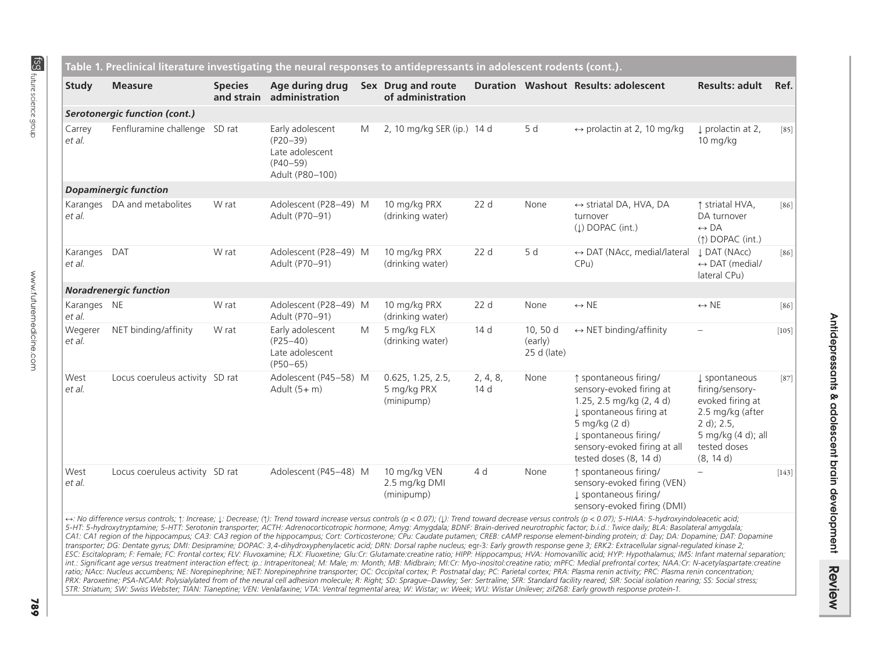|              | Table 1. Preclinical literature investigating the neural responses to antidepressants in adolescent rodents (cont.). |                |                           |                   |  |                                                                         |
|--------------|----------------------------------------------------------------------------------------------------------------------|----------------|---------------------------|-------------------|--|-------------------------------------------------------------------------|
| <b>Study</b> | <b>Measure</b>                                                                                                       | <b>Species</b> | and strain administration | of administration |  | Age during drug Sex Drug and route Duration Washout Results: adolescent |
|              | Serotonergic function (cont.)                                                                                        |                |                           |                   |  |                                                                         |

| Carrey<br>et al.      | Fenfluramine challenge SD rat   |       | Early adolescent<br>$(P20 - 39)$<br>Late adolescent<br>$(P40 - 59)$<br>Adult (P80-100) | M | 2, 10 mg/kg SER (ip.) 14 d                     |                  | 5 d                                 | $\leftrightarrow$ prolactin at 2, 10 mg/kg                                                                                                                                                                   | $\downarrow$ prolactin at 2,<br>10 mg/kg                                                                                                    | $[85]$  |
|-----------------------|---------------------------------|-------|----------------------------------------------------------------------------------------|---|------------------------------------------------|------------------|-------------------------------------|--------------------------------------------------------------------------------------------------------------------------------------------------------------------------------------------------------------|---------------------------------------------------------------------------------------------------------------------------------------------|---------|
|                       | <b>Dopaminergic function</b>    |       |                                                                                        |   |                                                |                  |                                     |                                                                                                                                                                                                              |                                                                                                                                             |         |
| et al.                | Karanges DA and metabolites     | W rat | Adolescent (P28-49) M<br>Adult (P70-91)                                                |   | 10 mg/kg PRX<br>(drinking water)               | 22 d             | None                                | $\leftrightarrow$ striatal DA, HVA, DA<br>turnover<br>$(l)$ DOPAC (int.)                                                                                                                                     | ↑ striatal HVA,<br>DA turnover<br>$\leftrightarrow$ DA<br>$(†)$ DOPAC (int.)                                                                | $[86]$  |
| Karanges<br>et al.    | DAT                             | W rat | Adolescent (P28-49) M<br>Adult (P70-91)                                                |   | 10 mg/kg PRX<br>(drinking water)               | 22 d             | 5 d                                 | $\leftrightarrow$ DAT (NAcc, medial/lateral<br>CPu)                                                                                                                                                          | L DAT (NAcc)<br>$\leftrightarrow$ DAT (medial/<br>lateral CPu)                                                                              | $[86]$  |
|                       | <b>Noradrenergic function</b>   |       |                                                                                        |   |                                                |                  |                                     |                                                                                                                                                                                                              |                                                                                                                                             |         |
| Karanges NE<br>et al. |                                 | W rat | Adolescent (P28-49) M<br>Adult (P70-91)                                                |   | 10 mg/kg PRX<br>(drinking water)               | 22 d             | None                                | $\leftrightarrow$ NE                                                                                                                                                                                         | $\leftrightarrow$ NE                                                                                                                        | $[86]$  |
| Wegerer<br>et al.     | NET binding/affinity            | W rat | Early adolescent<br>$(P25 - 40)$<br>Late adolescent<br>$(P50 - 65)$                    | M | 5 mg/kg FLX<br>(drinking water)                | 14 d             | 10,50 d<br>(early)<br>$25 d$ (late) | $\leftrightarrow$ NET binding/affinity                                                                                                                                                                       |                                                                                                                                             | $[105]$ |
| West<br>et al.        | Locus coeruleus activity SD rat |       | Adolescent (P45-58) M<br>Adult $(5 + m)$                                               |   | 0.625, 1.25, 2.5,<br>5 mg/kg PRX<br>(minipump) | 2, 4, 8,<br>14 d | None                                | ↑ spontaneous firing/<br>sensory-evoked firing at<br>1.25, 2.5 mg/kg (2, 4 d)<br>I spontaneous firing at<br>5 mg/kg (2 d)<br>Į spontaneous firing/<br>sensory-evoked firing at all<br>tested doses (8, 14 d) | I spontaneous<br>firing/sensory-<br>evoked firing at<br>2.5 mg/kg (after<br>2 d); $2.5$ ,<br>5 mg/kg (4 d); all<br>tested doses<br>(8, 14d) | $[87]$  |
| West<br>et al.        | Locus coeruleus activity SD rat |       | Adolescent (P45-48) M                                                                  |   | 10 mg/kg VEN<br>2.5 mg/kg DMI<br>(minipump)    | 4 d              | None                                | ↑ spontaneous firing/<br>sensory-evoked firing (VEN)<br>Į spontaneous firing/<br>sensory-evoked firing (DMI)                                                                                                 |                                                                                                                                             | [143]   |

→: No difference versus controls; 1: Increase; 1: Decrease; (1): Trend toward increase versus controls (p < 0.07); (1): Trend toward decrease versus controls (p < 0.07); 5-HIAA: 5-hydroxyindoleacetic acid; *5-HT: 5-hydroxytryptamine; 5-HTT: Serotonin transporter; ACTH: Adrenocorticotropic hormone; Amyg: Amygdala; BDNF: Brain-derived neurotrophic factor; b.i.d.: Twice daily; BLA: Basolateral amygdala;*  CA1: CA1 region of the hippocampus; CA3: CA3 region of the hippocampus; Cort: Corticosterone; CPu: Caudate putamen; CREB: cAMP response element-binding protein; d: Day; DA: Dopamine; DAT: Dopamine; DAT: Dopamine transporter; DG: Dentate gyrus; DMI: Desipramine; DOPAC: 3,4-dihydroxyphenylacetic acid; DRN: Dorsal raphe nucleus; egr-3: Early growth response gene 3; ERK2: Extracellular signal-regulated kinase 2; ESC: Escitalopram; F: Female; FC: Frontal cortex; FLV: Fluvoxamine; FLX: Fluoxetine; Glu:Cr: Glutamate:creatine ratio; HIPP: Hippocampus; HVA: Homovanillic acid; HYP: Hypothalamus; IMS: Infant maternal separation; *int.: Significant age versus treatment interaction effect; ip.: Intraperitoneal; M: Male; m: Month; MB: Midbrain; MI:Cr: Myo-inositol:creatine ratio; mPFC: Medial prefrontal cortex; NAA:Cr: N-acetylaspartate:creatine ratio; NAcc: Nucleus accumbens; NE: Norepinephrine; NET: Norepinephrine transporter; OC: Occipital cortex; P: Postnatal day; PC: Parietal cortex; PRA: Plasma renin activity; PRC: Plasma renin concentration;*  PRX: Paroxetine; PSA-NCAM: Polysialylated from of the neural cell adhesion molecule; R: Right; SD: Spraque–Dawley; Ser: Sertraline; SFR: Standard facility reared; SIR: Social isolation rearing; SS: Social stress; *STR: Striatum; SW: Swiss Webster; TIAN: Tianeptine; VEN: Venlafaxine; VTA: Ventral tegmental area; W: Wistar; w: Week; WU: Wistar Unilever; zif268: Early growth response protein-1.*

**Washout Results: adolescent Results: adult Ref.**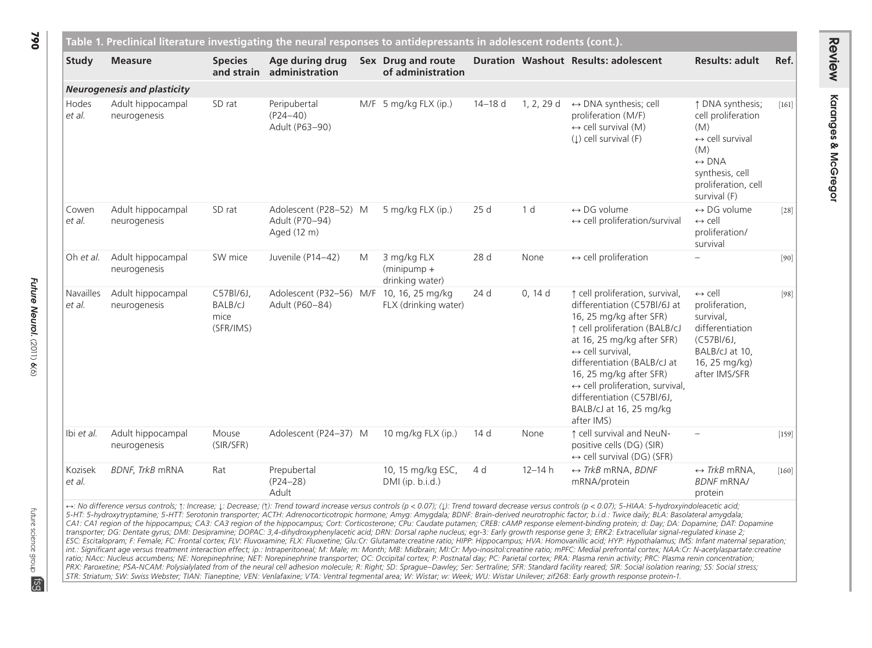|  | Table 1. Preclinical literature investigating the neural responses to antidepressants in adolescent rodents (cont |  |
|--|-------------------------------------------------------------------------------------------------------------------|--|
|  |                                                                                                                   |  |

| Study               | <b>Measure</b>                     | <b>Species</b>                            | Age during drug<br>and strain administration               |   | Sex Drug and route<br>of administration         |                 |            | <b>Duration Washout Results: adolescent</b>                                                                                                                                                                                                                                                                                                                                       | <b>Results: adult</b>                                                                                                                                                      | Ref.    |
|---------------------|------------------------------------|-------------------------------------------|------------------------------------------------------------|---|-------------------------------------------------|-----------------|------------|-----------------------------------------------------------------------------------------------------------------------------------------------------------------------------------------------------------------------------------------------------------------------------------------------------------------------------------------------------------------------------------|----------------------------------------------------------------------------------------------------------------------------------------------------------------------------|---------|
|                     | <b>Neurogenesis and plasticity</b> |                                           |                                                            |   |                                                 |                 |            |                                                                                                                                                                                                                                                                                                                                                                                   |                                                                                                                                                                            |         |
| Hodes<br>et al.     | Adult hippocampal<br>neurogenesis  | SD rat                                    | Peripubertal<br>$(P24 - 40)$<br>Adult (P63-90)             |   | M/F 5 mg/kg FLX (ip.)                           | $14 - 18d$      | 1, 2, 29 d | $\leftrightarrow$ DNA synthesis; cell<br>proliferation (M/F)<br>$\leftrightarrow$ cell survival (M)<br>$(l)$ cell survival $(F)$                                                                                                                                                                                                                                                  | ↑ DNA synthesis;<br>cell proliferation<br>(M)<br>$\leftrightarrow$ cell survival<br>(M)<br>$\leftrightarrow$ DNA<br>synthesis, cell<br>proliferation, cell<br>survival (F) | $[161]$ |
| Cowen<br>et al.     | Adult hippocampal<br>neurogenesis  | SD rat                                    | Adolescent (P28-52) M<br>Adult (P70-94)<br>Aged (12 m)     |   | 5 mg/kg FLX (ip.)                               | 25d             | 1 d        | $\leftrightarrow$ DG volume<br>$\leftrightarrow$ cell proliferation/survival                                                                                                                                                                                                                                                                                                      | $\leftrightarrow$ DG volume<br>$\leftrightarrow$ cell<br>proliferation/<br>survival                                                                                        | $[28]$  |
| Oh et al.           | Adult hippocampal<br>neurogenesis  | SW mice                                   | Juvenile (P14-42)                                          | M | 3 mg/kg FLX<br>$(minipump +$<br>drinking water) | 28 d            | None       | $\leftrightarrow$ cell proliferation                                                                                                                                                                                                                                                                                                                                              |                                                                                                                                                                            | $[90]$  |
| Navailles<br>et al. | Adult hippocampal<br>neurogenesis  | C57Bl/6J,<br>BALB/cJ<br>mice<br>(SFR/IMS) | Adolescent (P32-56) M/F 10, 16, 25 mg/kg<br>Adult (P60-84) |   | FLX (drinking water)                            | 24 d            | 0, 14d     | ↑ cell proliferation, survival,<br>differentiation (C57Bl/6J at<br>16, 25 mg/kg after SFR)<br>↑ cell proliferation (BALB/cJ<br>at 16, 25 mg/kg after SFR)<br>$\leftrightarrow$ cell survival.<br>differentiation (BALB/cJ at<br>16, 25 mg/kg after SFR)<br>$\leftrightarrow$ cell proliferation, survival,<br>differentiation (C57Bl/6J,<br>BALB/cJ at 16, 25 mg/kg<br>after IMS) | $\leftrightarrow$ cell<br>proliferation,<br>survival,<br>differentiation<br>(C57Bl/6J,<br>BALB/cJ at 10.<br>16, 25 mg/kg)<br>after IMS/SFR                                 | $[98]$  |
| Ibi et al.          | Adult hippocampal<br>neurogenesis  | Mouse<br>(SIR/SFR)                        | Adolescent (P24-37) M                                      |   | 10 mg/kg FLX (ip.)                              | 14 <sub>d</sub> | None       | ↑ cell survival and NeuN-<br>positive cells (DG) (SIR)<br>$\leftrightarrow$ cell survival (DG) (SFR)                                                                                                                                                                                                                                                                              | $\equiv$                                                                                                                                                                   | $[159]$ |
| Kozisek<br>et al.   | BDNF, TrkB mRNA                    | Rat                                       | Prepubertal<br>$(P24 - 28)$<br>Adult                       |   | 10, 15 mg/kg ESC,<br>DMI (ip. b.i.d.)           | 4 d             | $12 - 14h$ | $\leftrightarrow$ TrkB mRNA, BDNF<br>mRNA/protein                                                                                                                                                                                                                                                                                                                                 | $\leftrightarrow$ TrkB mRNA,<br><b>BDNF</b> mRNA/<br>protein                                                                                                               | $[160]$ |

Review

→>: No difference versus controls; 1: Increase; 1: Decrease; (1): Trend toward increase versus controls (p < 0.07); (1): Trend toward decrease versus controls (p < 0.07); 5-HIAA: 5-hydroxyindoleacetic acid; 5-HT: 5-hydroxytryptamine; 5-HTT: Serotonin transporter; ACTH: Adrenocorticotropic hormone; Amyg: Amygdala; BDNF: Brain-derived neurotrophic factor; b.i.d.: Twice daily; BLA: Basolateral amygdala;<br>CA1: CA1 region of the hi transporter; DG: Dentate gyrus; DMI: Desipramine; DOPAC: 3,4-dihydroxyphenylacetic acid; DRN: Dorsal raphe nucleus; egr-3: Early growth response gene 3; ERK2: Extracellular signal-regulated kinase 2; ESC: Escitalopram; F: Female; FC: Frontal cortex; FLV: Fluvoxamine; FLX: Fluoxetine; Glu:Cr: Glutamate:creatine ratio; HIPP: Hippocampus; HVA: Homovanillic acid; HYP: Hypothalamus; IMS: Infant maternal separation; *int.: Significant age versus treatment interaction effect; ip.: Intraperitoneal; M: Male; m: Month; MB: Midbrain; MI:Cr: Myo-inositol:creatine ratio; mPFC: Medial prefrontal cortex; NAA:Cr: N-acetylaspartate:creatine ratio; NAcc: Nucleus accumbens; NE: Norepinephrine; NET: Norepinephrine transporter; OC: Occipital cortex; P: Postnatal day; PC: Parietal cortex; PRA: Plasma renin activity; PRC: Plasma renin concentration;*  PRX: Paroxetine; PSA-NCAM: Polysialylated from of the neural cell adhesion molecule; R: Right; SD: Spraque-Dawley; Ser: Sertraline; SFR: Standard facility reared; SIR: Social isolation rearing; SS: Social stress; *STR: Striatum; SW: Swiss Webster; TIAN: Tianeptine; VEN: Venlafaxine; VTA: Ventral tegmental area; W: Wistar; w: Week; WU: Wistar Unilever; zif268: Early growth response protein-1.*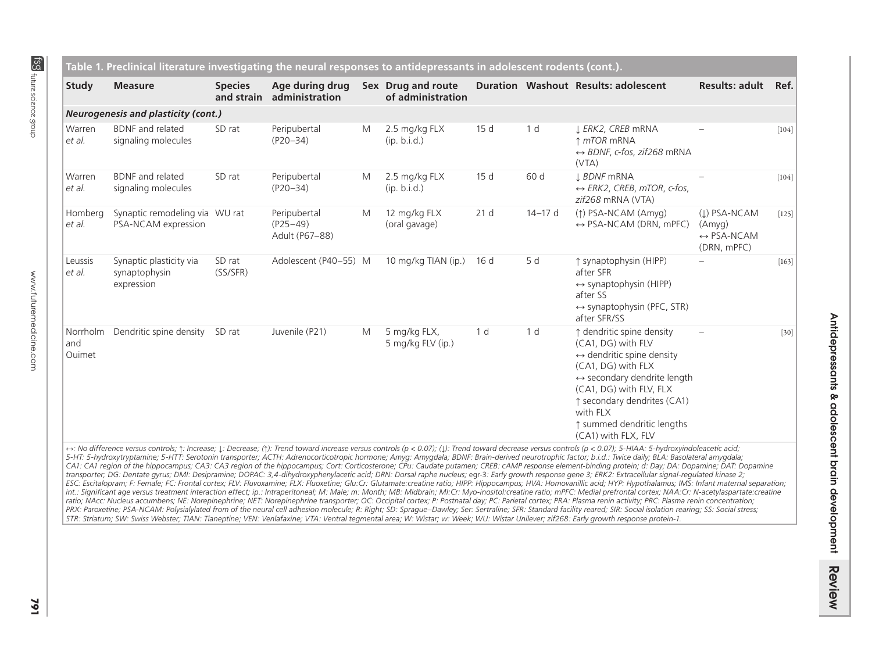| <b>Study</b>              | <b>Measure</b>                                         | <b>Species</b><br>and strain | Age during drug<br>administration              |   | Sex Drug and route<br>of administration |                 |                | <b>Duration Washout Results: adolescent</b>                                                                                                                                                                                                                                                  | <b>Results: adult</b>                                                              | Ref.    |
|---------------------------|--------------------------------------------------------|------------------------------|------------------------------------------------|---|-----------------------------------------|-----------------|----------------|----------------------------------------------------------------------------------------------------------------------------------------------------------------------------------------------------------------------------------------------------------------------------------------------|------------------------------------------------------------------------------------|---------|
|                           | <b>Neurogenesis and plasticity (cont.)</b>             |                              |                                                |   |                                         |                 |                |                                                                                                                                                                                                                                                                                              |                                                                                    |         |
| Warren<br>et al.          | <b>BDNF</b> and related<br>signaling molecules         | SD rat                       | Peripubertal<br>$(P20 - 34)$                   | M | 2.5 mg/kg FLX<br>(ip. b.i.d.)           | 15d             | 1 <sub>d</sub> | L ERK2, CREB mRNA<br>↑ <i>mTOR</i> mRNA<br>$\leftrightarrow$ BDNF, c-fos, zif268 mRNA<br>(VTA)                                                                                                                                                                                               |                                                                                    | $[104]$ |
| Warren<br>et al.          | <b>BDNF</b> and related<br>signaling molecules         | SD rat                       | Peripubertal<br>$(P20 - 34)$                   | M | 2.5 mg/kg FLX<br>(ip. b.i.d.)           | 15d             | 60 d           | L BDNF mRNA<br>$\leftrightarrow$ ERK2, CREB, mTOR, c-fos,<br>zif268 mRNA (VTA)                                                                                                                                                                                                               |                                                                                    | $[104]$ |
| Homberg<br>et al.         | Synaptic remodeling via WU rat<br>PSA-NCAM expression  |                              | Peripubertal<br>$(P25 - 49)$<br>Adult (P67-88) | M | 12 mg/kg FLX<br>(oral gavage)           | 21 <sub>d</sub> | $14 - 17$ d    | $(1)$ PSA-NCAM (Amyg)<br>$\leftrightarrow$ PSA-NCAM (DRN, mPFC)                                                                                                                                                                                                                              | $($ $\downarrow$ ) PSA-NCAM<br>(Amyg)<br>$\leftrightarrow$ PSA-NCAM<br>(DRN, mPFC) | $[125]$ |
| Leussis<br>et al.         | Synaptic plasticity via<br>synaptophysin<br>expression | SD rat<br>(SS/SFR)           | Adolescent (P40-55) M                          |   | 10 mg/kg TIAN (ip.)                     | 16d             | 5 d            | ↑ synaptophysin (HIPP)<br>after SFR<br>$\leftrightarrow$ synaptophysin (HIPP)<br>after SS<br>$\leftrightarrow$ synaptophysin (PFC, STR)<br>after SFR/SS                                                                                                                                      |                                                                                    | $[163]$ |
| Norrholm<br>and<br>Ouimet | Dendritic spine density                                | SD rat                       | Juvenile (P21)                                 | M | 5 mg/kg FLX,<br>5 mg/kg FLV (ip.)       | 1 <sub>d</sub>  | 1 <sub>d</sub> | ↑ dendritic spine density<br>(CA1, DG) with FLV<br>$\leftrightarrow$ dendritic spine density<br>(CA1, DG) with FLX<br>$\leftrightarrow$ secondary dendrite length<br>(CA1, DG) with FLV, FLX<br>↑ secondary dendrites (CA1)<br>with FLX<br>↑ summed dendritic lengths<br>(CA1) with FLX, FLV |                                                                                    | $[30]$  |

transporter; DG: Dentate gyrus; DMI: Desipramine; DOPAC: 3,4-dihydroxyphenylacetic acid; DRN: Dorsal raphe nucleus; egr-3: Early growth response gene 3; ERK2: Extracellular signal-regulated kinase 2; ESC: Escitalopram; F: Female; FC: Frontal cortex; FLV: Fluvoxamine; FLX: Fluoxetine; Glu:Cr: Glutamate:creatine ratio; HIPP: Hippocampus; HVA: Homovanillic acid; HYP: Hypothalamus; IMS: Infant maternal separation; *int.: Significant age versus treatment interaction effect; ip.: Intraperitoneal; M: Male; m: Month; MB: Midbrain; MI:Cr: Myo-inositol:creatine ratio; mPFC: Medial prefrontal cortex; NAA:Cr: N-acetylaspartate:creatine ratio; NAcc: Nucleus accumbens; NE: Norepinephrine; NET: Norepinephrine transporter; OC: Occipital cortex; P: Postnatal day; PC: Parietal cortex; PRA: Plasma renin activity; PRC: Plasma renin concentration;*  PRX: Paroxetine; PSA-NCAM: Polysialylated from of the neural cell adhesion molecule; R: Right; SD: Sprague–Dawley; Ser: Sertraline; SFR: Standard facility reared; SIR: Social isolation rearing; SS: Social stress; *STR: Striatum; SW: Swiss Webster; TIAN: Tianeptine; VEN: Venlafaxine; VTA: Ventral tegmental area; W: Wistar; w: Week; WU: Wistar Unilever; zif268: Early growth response protein-1.*

**Table 1. Preclinical literature investigating the neural responses to antidepressants in adolescent rodents (cont.).**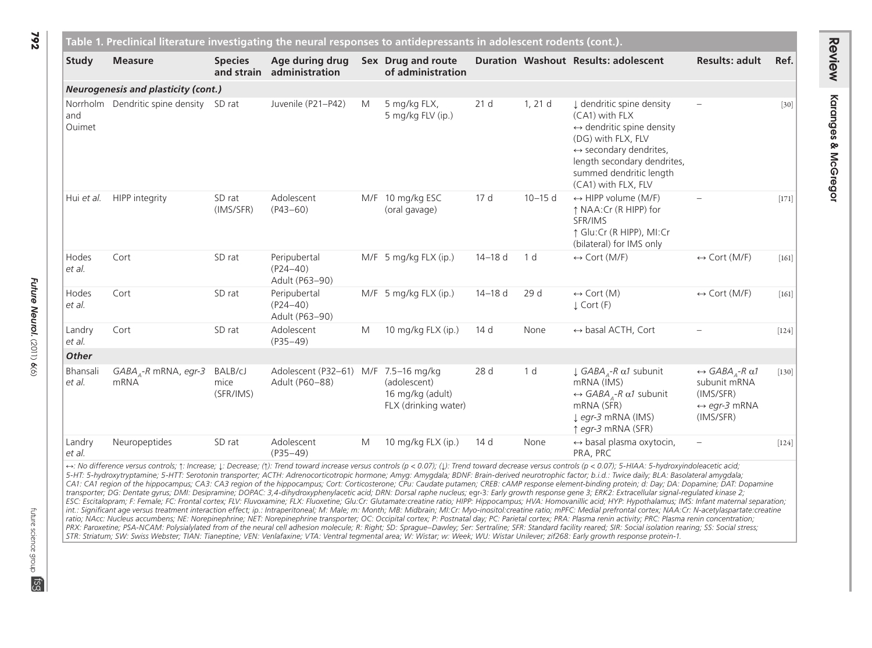|  | (cont.) Table 1. Preclinical literature investigating the neural responses to antidepressants in adolescent rodents |
|--|---------------------------------------------------------------------------------------------------------------------|
|  |                                                                                                                     |

| <b>Study</b>       | <b>Measure</b>                             | <b>Species</b><br>and strain | Age during drug<br>administration                      |   | Sex Drug and route<br>of administration                  |                 |                | <b>Duration Washout Results: adolescent</b>                                                                                                                                                                                               | <b>Results: adult</b>                                                                                         | Ref.    |
|--------------------|--------------------------------------------|------------------------------|--------------------------------------------------------|---|----------------------------------------------------------|-----------------|----------------|-------------------------------------------------------------------------------------------------------------------------------------------------------------------------------------------------------------------------------------------|---------------------------------------------------------------------------------------------------------------|---------|
|                    | <b>Neurogenesis and plasticity (cont.)</b> |                              |                                                        |   |                                                          |                 |                |                                                                                                                                                                                                                                           |                                                                                                               |         |
| and<br>Ouimet      | Norrholm Dendritic spine density SD rat    |                              | Juvenile (P21-P42)                                     | M | 5 mg/kg FLX,<br>5 mg/kg FLV (ip.)                        | 21 <sub>d</sub> | 1, 21 d        | I dendritic spine density<br>(CA1) with FLX<br>$\leftrightarrow$ dendritic spine density<br>(DG) with FLX, FLV<br>$\leftrightarrow$ secondary dendrites.<br>length secondary dendrites,<br>summed dendritic length<br>(CA1) with FLX, FLV |                                                                                                               | $[30]$  |
| Hui et al.         | HIPP integrity                             | SD rat<br>(IMS/SFR)          | Adolescent<br>$(P43 - 60)$                             |   | M/F 10 mg/kg ESC<br>(oral gavage)                        | 17 d            | $10 - 15d$     | $\leftrightarrow$ HIPP volume (M/F)<br>↑ NAA: Cr (R HIPP) for<br>SFR/IMS<br>↑ Glu:Cr (R HIPP), MI:Cr<br>(bilateral) for IMS only                                                                                                          |                                                                                                               | $[171]$ |
| Hodes<br>et al.    | Cort                                       | SD rat                       | Peripubertal<br>$(P24 - 40)$<br>Adult (P63-90)         |   | M/F 5 mg/kg FLX (ip.)                                    | $14 - 18$ d     | 1 <sub>d</sub> | $\leftrightarrow$ Cort (M/F)                                                                                                                                                                                                              | $\leftrightarrow$ Cort (M/F)                                                                                  | $[161]$ |
| Hodes<br>et al.    | Cort                                       | SD rat                       | Peripubertal<br>$(P24 - 40)$<br>Adult (P63-90)         |   | M/F 5 mg/kg FLX (ip.)                                    | $14 - 18$ d     | 29 d           | $\leftrightarrow$ Cort (M)<br>$\perp$ Cort (F)                                                                                                                                                                                            | $\leftrightarrow$ Cort (M/F)                                                                                  | $[161]$ |
| Landry<br>et al.   | Cort                                       | SD rat                       | Adolescent<br>$(P35 - 49)$                             | M | 10 mg/kg FLX (ip.)                                       | 14 d            | None           | $\leftrightarrow$ basal ACTH, Cort                                                                                                                                                                                                        |                                                                                                               | $[124]$ |
| Other              |                                            |                              |                                                        |   |                                                          |                 |                |                                                                                                                                                                                                                                           |                                                                                                               |         |
| Bhansali<br>et al. | $GABA_{A}$ -R mRNA, egr-3<br><b>mRNA</b>   | BALB/cJ<br>mice<br>(SFR/IMS) | Adolescent (P32-61) M/F 7.5-16 mg/kg<br>Adult (P60-88) |   | (adolescent)<br>16 mg/kg (adult)<br>FLX (drinking water) | 28 d            | 1 d            | $\downarrow$ GABA $_A$ -R $\alpha$ 1 subunit<br>mRNA (IMS)<br>$\leftrightarrow$ GABA $_{4}$ -R $\alpha$ 1 subunit<br>mRNA (SFR)<br>$\downarrow$ egr-3 mRNA (IMS)<br>↑ egr-3 mRNA (SFR)                                                    | $\leftrightarrow$ GABA $R \alpha$ 1<br>subunit mRNA<br>(IMS/SFR)<br>$\leftrightarrow$ egr-3 mRNA<br>(IMS/SFR) | $[130]$ |
| Landry<br>et al.   | Neuropeptides                              | SD rat                       | Adolescent<br>$(P35 - 49)$                             | M | 10 mg/kg FLX (ip.)                                       | 14 <sub>d</sub> | None           | $\leftrightarrow$ basal plasma oxytocin,<br>PRA, PRC                                                                                                                                                                                      | $\overline{\phantom{0}}$                                                                                      | $[124]$ |

*transporter; DG: Dentate gyrus; DMI: Desipramine; DOPAC: 3,4-dihydroxyphenylacetic acid; DRN: Dorsal raphe nucleus;* egr-3*: Early growth response gene 3; ERK2: Extracellular signal-regulated kinase 2;*  ESC: Escitalopram; F: Female; FC: Frontal cortex; FLV: Fluvoxamine; FLX: Fluoxetine; Glu:Cr: Glutamate:creatine ratio; HIPP: Hippocampus; HVA: Homovanillic acid; HYP: Hypothalamus; IMS: Infant maternal separation; int.: Significant age versus treatment interaction effect; ip.: Intraperitoneal; M: Male; m: Month; MB: Midbrain; MI:Cr: Myo-inositol:creatine ratio; mPFC: Medial prefrontal cortex; NAA:Cr: N-acetylaspartate:creatine *ratio; NAcc: Nucleus accumbens; NE: Norepinephrine; NET: Norepinephrine transporter; OC: Occipital cortex; P: Postnatal day; PC: Parietal cortex; PRA: Plasma renin activity; PRC: Plasma renin concentration;*  PRX: Paroxetine; PSA-NCAM: Polysialylated from of the neural cell adhesion molecule; R: Right; SD: Spraque–Dawley; Ser: Sertraline; SFR: Standard facility reared; SIR: Social isolation rearing; SS: Social stress; *STR: Striatum; SW: Swiss Webster; TIAN: Tianeptine; VEN: Venlafaxine; VTA: Ventral tegmental area; W: Wistar; w: Week; WU: Wistar Unilever; zif268: Early growth response protein-1.*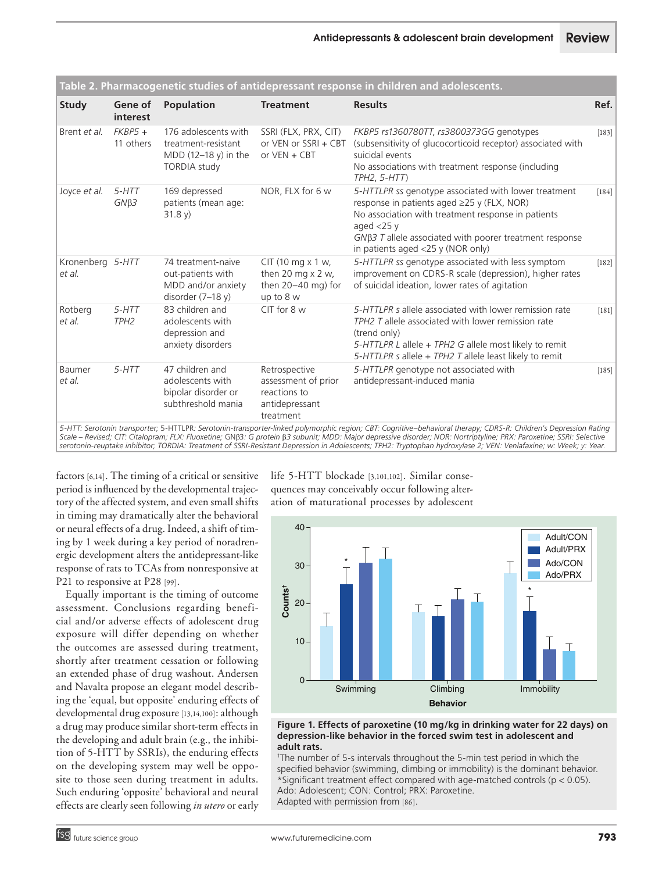| Study                      | Gene of<br>interest           | Population                                                                                 | <b>Treatment</b>                                                                    | <b>Results</b>                                                                                                                                                                                                                                                                      | Ref.    |
|----------------------------|-------------------------------|--------------------------------------------------------------------------------------------|-------------------------------------------------------------------------------------|-------------------------------------------------------------------------------------------------------------------------------------------------------------------------------------------------------------------------------------------------------------------------------------|---------|
| Brent et al.               | $FKBP5 +$<br>11 others        | 176 adolescents with<br>treatment-resistant<br>MDD (12-18 y) in the<br><b>TORDIA study</b> | SSRI (FLX, PRX, CIT)<br>or VEN or SSRI + CBT<br>or VEN + CBT                        | FKBP5 rs1360780TT, rs3800373GG genotypes<br>(subsensitivity of glucocorticoid receptor) associated with<br>suicidal events<br>No associations with treatment response (including<br>$TPH2, 5-HTT$                                                                                   | $[183]$ |
| Joyce et al.               | $5 - HTT$<br>GNB3             | 169 depressed<br>patients (mean age:<br>31.8 y)                                            | NOR, FLX for 6 w                                                                    | 5-HTTLPR ss genotype associated with lower treatment<br>response in patients aged ≥25 y (FLX, NOR)<br>No association with treatment response in patients<br>aged $<$ 25 y<br>$GN\beta$ 3 T allele associated with poorer treatment response<br>in patients aged $<$ 25 y (NOR only) | $[184]$ |
| Kronenberg 5-HTT<br>et al. |                               | 74 treatment-naive<br>out-patients with<br>MDD and/or anxiety<br>disorder (7-18 y)         | CIT (10 mg x 1 w,<br>then 20 mg $x$ 2 w,<br>then $20-40$ mg) for<br>up to 8 w       | 5-HTTLPR ss genotype associated with less symptom<br>improvement on CDRS-R scale (depression), higher rates<br>of suicidal ideation, lower rates of agitation                                                                                                                       | $[182]$ |
| Rotberg<br>et al.          | $5 - HTT$<br>TPH <sub>2</sub> | 83 children and<br>adolescents with<br>depression and<br>anxiety disorders                 | $CIT$ for $8w$                                                                      | 5-HTTLPR s allele associated with lower remission rate<br>TPH2 T allele associated with lower remission rate<br>(trend only)<br>5-HTTLPR L allele + TPH2 G allele most likely to remit<br>5-HTTLPR s allele + TPH2 T allele least likely to remit                                   | $[181]$ |
| Baumer<br>et al.           | $5 - HTT$                     | 47 children and<br>adolescents with<br>bipolar disorder or<br>subthreshold mania           | Retrospective<br>assessment of prior<br>reactions to<br>antidepressant<br>treatment | 5-HTTLPR genotype not associated with<br>antidepressant-induced mania                                                                                                                                                                                                               | $[185]$ |

5-HTT: Serotonin transporter; 5-HTTLPR: Serotonin-transporter-linked polymorphic region; CBT: Cognitive–behavioral therapy; CDRS-R: Children's Depression Rating<br>Scale – Revised; CIT: Citalopram; FLX: Fluoxetine; GNβ3: G p

factors [6,14]. The timing of a critical or sensitive period is influenced by the developmental trajectory of the affected system, and even small shifts in timing may dramatically alter the behavioral or neural effects of a drug. Indeed, a shift of timing by 1 week during a key period of noradrenergic development alters the antidepressant-like response of rats to TCAs from nonresponsive at P21 to responsive at P28 [99].

Equally important is the timing of outcome assessment. Conclusions regarding beneficial and/or adverse effects of adolescent drug exposure will differ depending on whether the outcomes are assessed during treatment, shortly after treatment cessation or following an extended phase of drug washout. Andersen and Navalta propose an elegant model describing the 'equal, but opposite' enduring effects of developmental drug exposure [13,14,100]: although a drug may produce similar short-term effects in the developing and adult brain (e.g., the inhibition of 5-HTT by SSRIs), the enduring effects on the developing system may well be opposite to those seen during treatment in adults. Such enduring 'opposite' behavioral and neural effects are clearly seen following *in utero* or early life 5-HTT blockade [3,101,102]. Similar consequences may conceivably occur following alteration of maturational processes by adolescent



#### **Figure 1. Effects of paroxetine (10 mg/kg in drinking water for 22 days) on depression-like behavior in the forced swim test in adolescent and adult rats.**

† The number of 5-s intervals throughout the 5-min test period in which the specified behavior (swimming, climbing or immobility) is the dominant behavior. \*Significant treatment effect compared with age-matched controls (p < 0.05). Ado: Adolescent; CON: Control; PRX: Paroxetine. Adapted with permission from [86].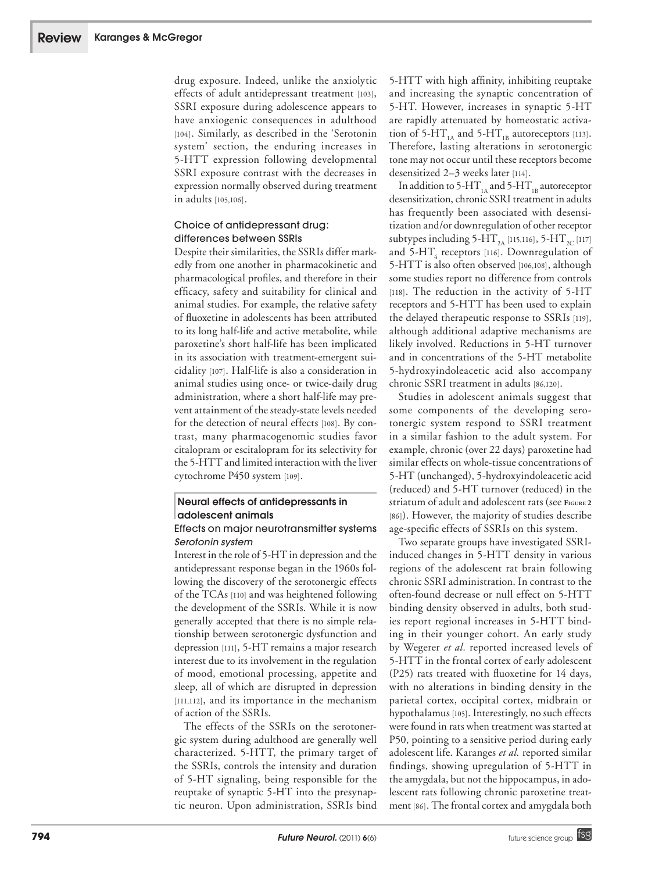drug exposure. Indeed, unlike the anxiolytic effects of adult antidepressant treatment [103], SSRI exposure during adolescence appears to have anxiogenic consequences in adulthood [104]. Similarly, as described in the 'Serotonin system' section, the enduring increases in 5-HTT expression following developmental SSRI exposure contrast with the decreases in expression normally observed during treatment in adults [105,106].

## Choice of antidepressant drug: differences between SSRIs

Despite their similarities, the SSRIs differ markedly from one another in pharmacokinetic and pharmacological profiles, and therefore in their efficacy, safety and suitability for clinical and animal studies. For example, the relative safety of fluoxetine in adolescents has been attributed to its long half-life and active metabolite, while paroxetine's short half-life has been implicated in its association with treatment-emergent suicidality [107]. Half-life is also a consideration in animal studies using once- or twice-daily drug administration, where a short half-life may prevent attainment of the steady-state levels needed for the detection of neural effects [108]. By contrast, many pharmacogenomic studies favor citalopram or escitalopram for its selectivity for the 5-HTT and limited interaction with the liver cytochrome P450 system [109].

# Neural effects of antidepressants in adolescent animals

## Effects on major neurotransmitter systems *Serotonin system*

Interest in the role of 5-HT in depression and the antidepressant response began in the 1960s following the discovery of the serotonergic effects of the TCAs [110] and was heightened following the development of the SSRIs. While it is now generally accepted that there is no simple relationship between serotonergic dysfunction and depression [111], 5-HT remains a major research interest due to its involvement in the regulation of mood, emotional processing, appetite and sleep, all of which are disrupted in depression [111,112], and its importance in the mechanism of action of the SSRIs.

The effects of the SSRIs on the serotonergic system during adulthood are generally well characterized. 5-HTT, the primary target of the SSRIs, controls the intensity and duration of 5-HT signaling, being responsible for the reuptake of synaptic 5-HT into the presynaptic neuron. Upon administration, SSRIs bind 5-HTT with high affinity, inhibiting reuptake and increasing the synaptic concentration of 5-HT. However, increases in synaptic 5-HT are rapidly attenuated by homeostatic activation of 5-HT<sub>1A</sub> and 5-HT<sub>1B</sub> autoreceptors [113]. Therefore, lasting alterations in serotonergic tone may not occur until these receptors become desensitized 2–3 weeks later [114].

In addition to 5-HT<sub>1A</sub> and 5-HT<sub>1B</sub> autoreceptor desensitization, chronic SSRI treatment in adults has frequently been associated with desensitization and/or downregulation of other receptor subtypes including 5-HT<sub>2A</sub> [115,116], 5-HT<sub>2C</sub> [117] and 5-HT<sub>4</sub> receptors [116]. Downregulation of 5-HTT is also often observed [106,108], although some studies report no difference from controls [118]. The reduction in the activity of 5-HT receptors and 5-HTT has been used to explain the delayed therapeutic response to SSRIs [119], although additional adaptive mechanisms are likely involved. Reductions in 5-HT turnover and in concentrations of the 5-HT metabolite 5-hydroxyindoleacetic acid also accompany chronic SSRI treatment in adults [86,120].

Studies in adolescent animals suggest that some components of the developing serotonergic system respond to SSRI treatment in a similar fashion to the adult system. For example, chronic (over 22 days) paroxetine had similar effects on whole-tissue concentrations of 5-HT (unchanged), 5-hydroxyindoleacetic acid (reduced) and 5-HT turnover (reduced) in the striatum of adult and adolescent rats (see **Figure <sup>2</sup>** [86]). However, the majority of studies describe age-specific effects of SSRIs on this system.

Two separate groups have investigated SSRIinduced changes in 5-HTT density in various regions of the adolescent rat brain following chronic SSRI administration. In contrast to the often-found decrease or null effect on 5-HTT binding density observed in adults, both studies report regional increases in 5-HTT binding in their younger cohort. An early study by Wegerer *et al.* reported increased levels of 5-HTT in the frontal cortex of early adolescent (P25) rats treated with fluoxetine for 14 days, with no alterations in binding density in the parietal cortex, occipital cortex, midbrain or hypothalamus [105]. Interestingly, no such effects were found in rats when treatment was started at P50, pointing to a sensitive period during early adolescent life. Karanges *et al.* reported similar findings, showing upregulation of 5-HTT in the amygdala, but not the hippocampus, in adolescent rats following chronic paroxetine treatment [86]. The frontal cortex and amygdala both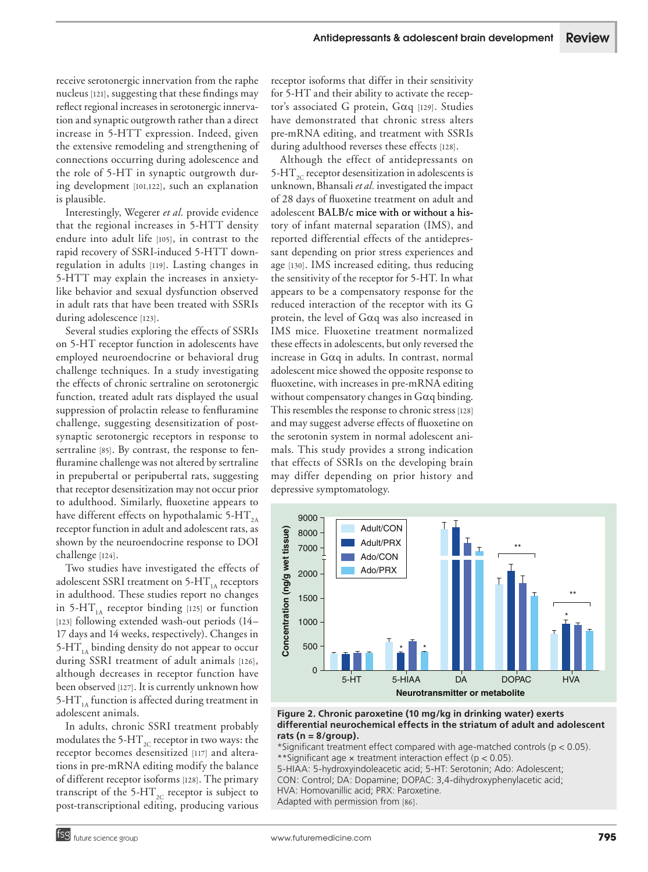receive serotonergic innervation from the raphe nucleus [121], suggesting that these findings may reflect regional increases in serotonergic innervation and synaptic outgrowth rather than a direct increase in 5-HTT expression. Indeed, given the extensive remodeling and strengthening of connections occurring during adolescence and the role of 5-HT in synaptic outgrowth during development [101,122], such an explanation is plausible.

Interestingly, Wegerer *et al.* provide evidence that the regional increases in 5-HTT density endure into adult life [105], in contrast to the rapid recovery of SSRI-induced 5-HTT downregulation in adults [119]. Lasting changes in 5-HTT may explain the increases in anxietylike behavior and sexual dysfunction observed in adult rats that have been treated with SSRIs during adolescence [123].

Several studies exploring the effects of SSRIs on 5-HT receptor function in adolescents have employed neuroendocrine or behavioral drug challenge techniques. In a study investigating the effects of chronic sertraline on serotonergic function, treated adult rats displayed the usual suppression of prolactin release to fenfluramine challenge, suggesting desensitization of postsynaptic serotonergic receptors in response to sertraline [85]. By contrast, the response to fenfluramine challenge was not altered by sertraline in prepubertal or peripubertal rats, suggesting that receptor desensitization may not occur prior to adulthood. Similarly, fluoxetine appears to have different effects on hypothalamic 5-HT<sub>2A</sub> receptor function in adult and adolescent rats, as shown by the neuroendocrine response to DOI challenge [124].

Two studies have investigated the effects of adolescent SSRI treatment on  $5-HT<sub>1A</sub>$  receptors in adulthood. These studies report no changes in 5-HT $_{14}$  receptor binding [125] or function [123] following extended wash-out periods (14– 17 days and 14 weeks, respectively). Changes in 5-HT $_{14}$  binding density do not appear to occur during SSRI treatment of adult animals [126], although decreases in receptor function have been observed [127]. It is currently unknown how 5-HT $_{14}$  function is affected during treatment in adolescent animals.

In adults, chronic SSRI treatment probably modulates the 5-HT $_{2C}$  receptor in two ways: the receptor becomes desensitized [117] and alterations in pre-mRNA editing modify the balance of different receptor isoforms [128]. The primary transcript of the 5-HT $_{2C}$  receptor is subject to post-transcriptional editing, producing various receptor isoforms that differ in their sensitivity for 5-HT and their ability to activate the receptor's associated G protein,  $G\alpha$ q [129]. Studies have demonstrated that chronic stress alters pre-mRNA editing, and treatment with SSRIs during adulthood reverses these effects [128].

Although the effect of antidepressants on 5-HT $_{2C}$  receptor desensitization in adolescents is unknown, Bhansali *et al.* investigated the impact of 28 days of fluoxetine treatment on adult and adolescent  $BALB/c$  mice with or without a history of infant maternal separation (IMS), and reported differential effects of the antidepressant depending on prior stress experiences and age [130]. IMS increased editing, thus reducing the sensitivity of the receptor for 5-HT. In what appears to be a compensatory response for the reduced interaction of the receptor with its G protein, the level of  $G\alpha q$  was also increased in IMS mice. Fluoxetine treatment normalized these effects in adolescents, but only reversed the increase in  $G\alpha q$  in adults. In contrast, normal adolescent mice showed the opposite response to fluoxetine, with increases in pre-mRNA editing without compensatory changes in  $Gaq$  binding. This resembles the response to chronic stress [128] and may suggest adverse effects of fluoxetine on the serotonin system in normal adolescent animals. This study provides a strong indication that effects of SSRIs on the developing brain may differ depending on prior history and depressive symptomatology.



#### **Figure 2. Chronic paroxetine (10 mg/kg in drinking water) exerts differential neurochemical effects in the striatum of adult and adolescent rats (n = 8/group).**

\*Significant treatment effect compared with age-matched controls (p < 0.05). \*\*Significant age × treatment interaction effect (p < 0.05).

5-HIAA: 5-hydroxyindoleacetic acid; 5-HT: Serotonin; Ado: Adolescent; CON: Control; DA: Dopamine; DOPAC: 3,4-dihydroxyphenylacetic acid; HVA: Homovanillic acid; PRX: Paroxetine. Adapted with permission from [86].

fsg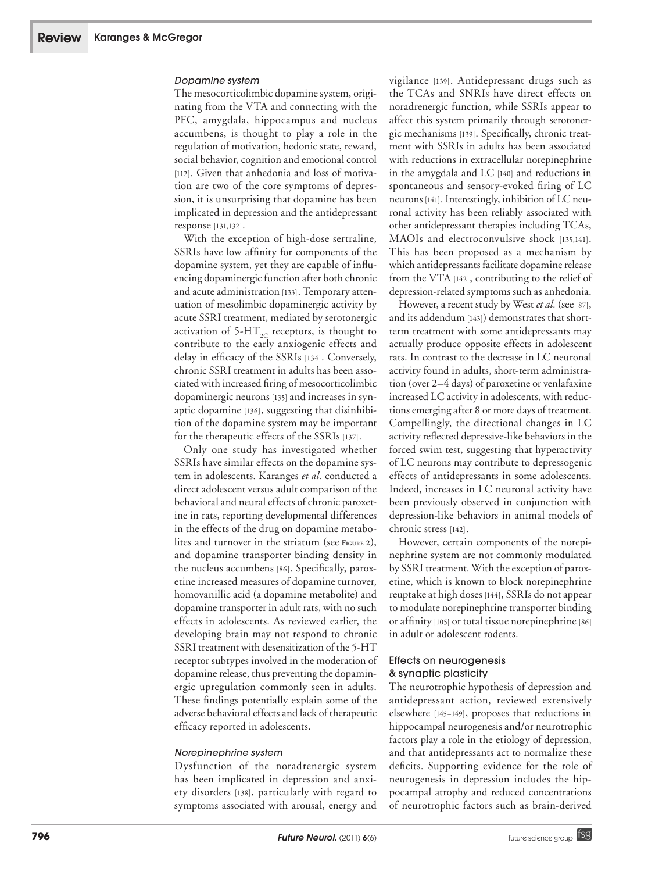#### *Dopamine system*

The mesocorticolimbic dopamine system, originating from the VTA and connecting with the PFC, amygdala, hippocampus and nucleus accumbens, is thought to play a role in the regulation of motivation, hedonic state, reward, social behavior, cognition and emotional control [112]. Given that anhedonia and loss of motivation are two of the core symptoms of depression, it is unsurprising that dopamine has been implicated in depression and the antidepressant response [131,132].

With the exception of high-dose sertraline, SSRIs have low affinity for components of the dopamine system, yet they are capable of influencing dopaminergic function after both chronic and acute administration [133]. Temporary attenuation of mesolimbic dopaminergic activity by acute SSRI treatment, mediated by serotonergic activation of  $5-HT_{2C}$  receptors, is thought to contribute to the early anxiogenic effects and delay in efficacy of the SSRIs [134]. Conversely, chronic SSRI treatment in adults has been associated with increased firing of mesocorticolimbic dopaminergic neurons [135] and increases in synaptic dopamine [136], suggesting that disinhibition of the dopamine system may be important for the therapeutic effects of the SSRIs [137].

Only one study has investigated whether SSRIs have similar effects on the dopamine system in adolescents. Karanges *et al.* conducted a direct adolescent versus adult comparison of the behavioral and neural effects of chronic paroxetine in rats, reporting developmental differences in the effects of the drug on dopamine metabolites and turnover in the striatum (see **Figure <sup>2</sup>**), and dopamine transporter binding density in the nucleus accumbens [86]. Specifically, paroxetine increased measures of dopamine turnover, homovanillic acid (a dopamine metabolite) and dopamine transporter in adult rats, with no such effects in adolescents. As reviewed earlier, the developing brain may not respond to chronic SSRI treatment with desensitization of the 5-HT receptor subtypes involved in the moderation of dopamine release, thus preventing the dopaminergic upregulation commonly seen in adults. These findings potentially explain some of the adverse behavioral effects and lack of therapeutic efficacy reported in adolescents.

#### *Norepinephrine system*

Dysfunction of the noradrenergic system has been implicated in depression and anxiety disorders [138], particularly with regard to symptoms associated with arousal, energy and vigilance [139]. Antidepressant drugs such as the TCAs and SNRIs have direct effects on noradrenergic function, while SSRIs appear to affect this system primarily through serotonergic mechanisms [139]. Specifically, chronic treatment with SSRIs in adults has been associated with reductions in extracellular norepinephrine in the amygdala and LC [140] and reductions in spontaneous and sensory-evoked firing of LC neurons [141]. Interestingly, inhibition of LC neuronal activity has been reliably associated with other antidepressant therapies including TCAs, MAOIs and electroconvulsive shock [135,141]. This has been proposed as a mechanism by which antidepressants facilitate dopamine release from the VTA [142], contributing to the relief of depression-related symptoms such as anhedonia.

However, a recent study by West *et al.* (see [87], and its addendum [143]) demonstrates that shortterm treatment with some antidepressants may actually produce opposite effects in adolescent rats. In contrast to the decrease in LC neuronal activity found in adults, short-term administration (over 2–4 days) of paroxetine or venlafaxine increased LC activity in adolescents, with reductions emerging after 8 or more days of treatment. Compellingly, the directional changes in LC activity reflected depressive-like behaviors in the forced swim test, suggesting that hyperactivity of LC neurons may contribute to depressogenic effects of antidepressants in some adolescents. Indeed, increases in LC neuronal activity have been previously observed in conjunction with depression-like behaviors in animal models of chronic stress [142].

However, certain components of the norepinephrine system are not commonly modulated by SSRI treatment. With the exception of paroxetine, which is known to block norepinephrine reuptake at high doses [144], SSRIs do not appear to modulate norepinephrine transporter binding or affinity [105] or total tissue norepinephrine [86] in adult or adolescent rodents.

#### Effects on neurogenesis & synaptic plasticity

The neurotrophic hypothesis of depression and antidepressant action, reviewed extensively elsewhere [145–149], proposes that reductions in hippocampal neurogenesis and/or neurotrophic factors play a role in the etiology of depression, and that antidepressants act to normalize these deficits. Supporting evidence for the role of neurogenesis in depression includes the hippocampal atrophy and reduced concentrations of neurotrophic factors such as brain-derived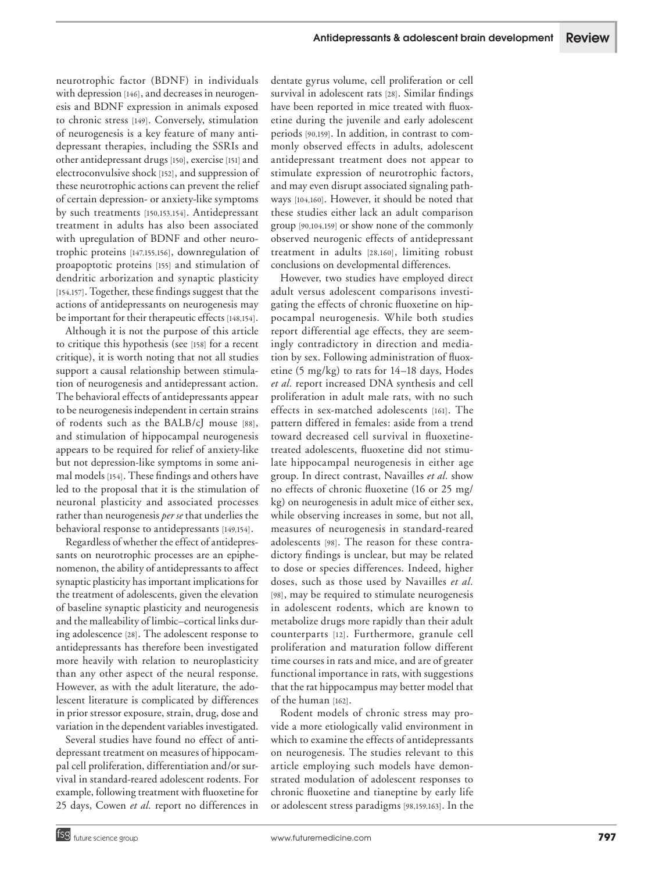neurotrophic factor (BDNF) in individuals with depression [146], and decreases in neurogenesis and BDNF expression in animals exposed to chronic stress [149]. Conversely, stimulation of neurogenesis is a key feature of many antidepressant therapies, including the SSRIs and other antidepressant drugs [150], exercise [151] and electroconvulsive shock [152], and suppression of these neurotrophic actions can prevent the relief of certain depression- or anxiety-like symptoms by such treatments [150,153,154]. Antidepressant treatment in adults has also been associated with upregulation of BDNF and other neurotrophic proteins [147,155,156], downregulation of proapoptotic proteins [155] and stimulation of dendritic arborization and synaptic plasticity [154,157]. Together, these findings suggest that the actions of antidepressants on neurogenesis may be important for their therapeutic effects [148,154].

Although it is not the purpose of this article to critique this hypothesis (see [158] for a recent critique), it is worth noting that not all studies support a causal relationship between stimulation of neurogenesis and antidepressant action. The behavioral effects of antidepressants appear to be neurogenesis independent in certain strains of rodents such as the BALB/cJ mouse [88], and stimulation of hippocampal neurogenesis appears to be required for relief of anxiety-like but not depression-like symptoms in some animal models [154]. These findings and others have led to the proposal that it is the stimulation of neuronal plasticity and associated processes rather than neurogenesis *per se* that underlies the behavioral response to antidepressants [149,154].

Regardless of whether the effect of antidepressants on neurotrophic processes are an epiphenomenon, the ability of antidepressants to affect synaptic plasticity has important implications for the treatment of adolescents, given the elevation of baseline synaptic plasticity and neurogenesis and the malleability of limbic–cortical links during adolescence [28]. The adolescent response to antidepressants has therefore been investigated more heavily with relation to neuroplasticity than any other aspect of the neural response. However, as with the adult literature, the adolescent literature is complicated by differences in prior stressor exposure, strain, drug, dose and variation in the dependent variables investigated.

Several studies have found no effect of antidepressant treatment on measures of hippocampal cell proliferation, differentiation and/or survival in standard-reared adolescent rodents. For example, following treatment with fluoxetine for 25 days, Cowen *et al.* report no differences in dentate gyrus volume, cell proliferation or cell survival in adolescent rats [28]. Similar findings have been reported in mice treated with fluoxetine during the juvenile and early adolescent periods [90,159]. In addition, in contrast to commonly observed effects in adults, adolescent antidepressant treatment does not appear to stimulate expression of neurotrophic factors, and may even disrupt associated signaling pathways [104,160]. However, it should be noted that these studies either lack an adult comparison group [90,104,159] or show none of the commonly observed neurogenic effects of antidepressant treatment in adults [28,160], limiting robust conclusions on developmental differences.

However, two studies have employed direct adult versus adolescent comparisons investigating the effects of chronic fluoxetine on hippocampal neurogenesis. While both studies report differential age effects, they are seemingly contradictory in direction and mediation by sex. Following administration of fluoxetine (5 mg/kg) to rats for 14–18 days, Hodes *et al.* report increased DNA synthesis and cell proliferation in adult male rats, with no such effects in sex-matched adolescents [161]. The pattern differed in females: aside from a trend toward decreased cell survival in fluoxetinetreated adolescents, fluoxetine did not stimulate hippocampal neurogenesis in either age group. In direct contrast, Navailles *et al.* show no effects of chronic fluoxetine (16 or 25 mg/ kg) on neurogenesis in adult mice of either sex, while observing increases in some, but not all, measures of neurogenesis in standard-reared adolescents [98]. The reason for these contradictory findings is unclear, but may be related to dose or species differences. Indeed, higher doses, such as those used by Navailles *et al.* [98], may be required to stimulate neurogenesis in adolescent rodents, which are known to metabolize drugs more rapidly than their adult counterparts [12]. Furthermore, granule cell proliferation and maturation follow different time courses in rats and mice, and are of greater functional importance in rats, with suggestions that the rat hippocampus may better model that of the human [162].

Rodent models of chronic stress may provide a more etiologically valid environment in which to examine the effects of antidepressants on neurogenesis. The studies relevant to this article employing such models have demonstrated modulation of adolescent responses to chronic fluoxetine and tianeptine by early life or adolescent stress paradigms [98,159,163]. In the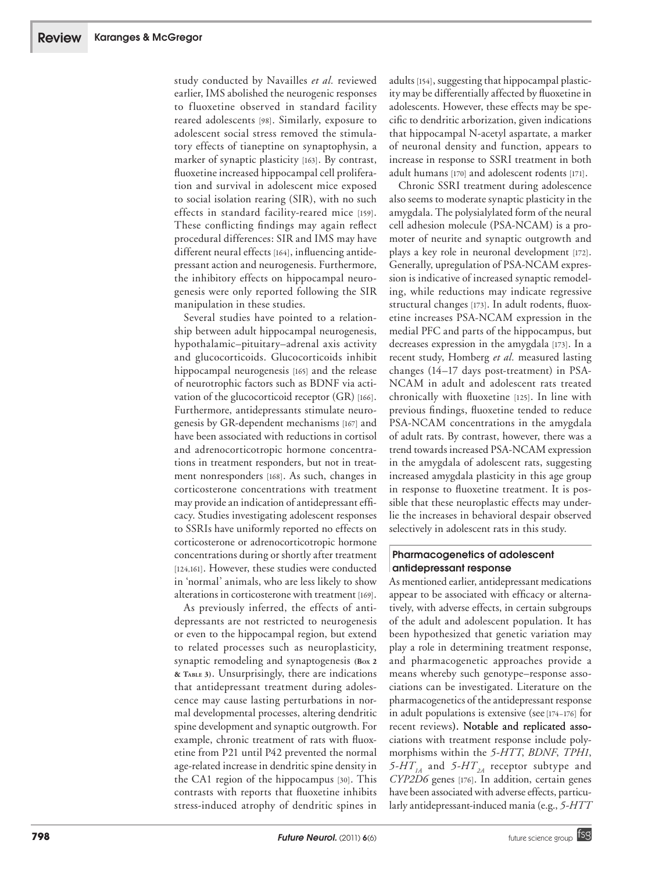study conducted by Navailles *et al.* reviewed earlier, IMS abolished the neurogenic responses to fluoxetine observed in standard facility reared adolescents [98]. Similarly, exposure to adolescent social stress removed the stimulatory effects of tianeptine on synaptophysin, a marker of synaptic plasticity [163]. By contrast, fluoxetine increased hippocampal cell proliferation and survival in adolescent mice exposed to social isolation rearing (SIR), with no such effects in standard facility-reared mice [159]. These conflicting findings may again reflect procedural differences: SIR and IMS may have different neural effects [164], influencing antidepressant action and neurogenesis. Furthermore, the inhibitory effects on hippocampal neurogenesis were only reported following the SIR manipulation in these studies.

Several studies have pointed to a relationship between adult hippocampal neurogenesis, hypothalamic–pituitary–adrenal axis activity and glucocorticoids. Glucocorticoids inhibit hippocampal neurogenesis [165] and the release of neurotrophic factors such as BDNF via activation of the glucocorticoid receptor (GR) [166]. Furthermore, antidepressants stimulate neurogenesis by GR-dependent mechanisms [167] and have been associated with reductions in cortisol and adrenocorticotropic hormone concentrations in treatment responders, but not in treatment nonresponders [168]. As such, changes in corticosterone concentrations with treatment may provide an indication of antidepressant efficacy. Studies investigating adolescent responses to SSRIs have uniformly reported no effects on corticosterone or adrenocorticotropic hormone concentrations during or shortly after treatment [124,161]. However, these studies were conducted in 'normal' animals, who are less likely to show alterations in corticosterone with treatment [169].

As previously inferred, the effects of antidepressants are not restricted to neurogenesis or even to the hippocampal region, but extend to related processes such as neuroplasticity, synaptic remodeling and synaptogenesis **(Box 2 & Table 3)**. Unsurprisingly, there are indications that antidepressant treatment during adolescence may cause lasting perturbations in normal developmental processes, altering dendritic spine development and synaptic outgrowth. For example, chronic treatment of rats with fluoxetine from P21 until P42 prevented the normal age-related increase in dendritic spine density in the CA1 region of the hippocampus [30]. This contrasts with reports that fluoxetine inhibits stress-induced atrophy of dendritic spines in adults [154], suggesting that hippocampal plasticity may be differentially affected by fluoxetine in adolescents. However, these effects may be specific to dendritic arborization, given indications that hippocampal N-acetyl aspartate, a marker of neuronal density and function, appears to increase in response to SSRI treatment in both adult humans [170] and adolescent rodents [171].

Chronic SSRI treatment during adolescence also seems to moderate synaptic plasticity in the amygdala. The polysialylated form of the neural cell adhesion molecule (PSA-NCAM) is a promoter of neurite and synaptic outgrowth and plays a key role in neuronal development [172]. Generally, upregulation of PSA-NCAM expression is indicative of increased synaptic remodeling, while reductions may indicate regressive structural changes [173]. In adult rodents, fluoxetine increases PSA-NCAM expression in the medial PFC and parts of the hippocampus, but decreases expression in the amygdala [173]. In a recent study, Homberg *et al.* measured lasting changes (14–17 days post-treatment) in PSA-NCAM in adult and adolescent rats treated chronically with fluoxetine [125]. In line with previous findings, fluoxetine tended to reduce PSA-NCAM concentrations in the amygdala of adult rats. By contrast, however, there was a trend towards increased PSA-NCAM expression in the amygdala of adolescent rats, suggesting increased amygdala plasticity in this age group in response to fluoxetine treatment. It is possible that these neuroplastic effects may underlie the increases in behavioral despair observed selectively in adolescent rats in this study.

## Pharmacogenetics of adolescent antidepressant response

As mentioned earlier, antidepressant medications appear to be associated with efficacy or alternatively, with adverse effects, in certain subgroups of the adult and adolescent population. It has been hypothesized that genetic variation may play a role in determining treatment response, and pharmacogenetic approaches provide a means whereby such genotype–response associations can be investigated. Literature on the pharmacogenetics of the antidepressant response in adult populations is extensive (see [174–176] for recent reviews). Notable and replicated associations with treatment response include polymorphisms within the *5-HTT*, *BDNF*, *TPH1*, 5- $HT_{IA}$  and 5- $HT_{2A}$  receptor subtype and *CYP2D6* genes [176]. In addition, certain genes have been associated with adverse effects, particularly antidepressant-induced mania (e.g., *5-HTT*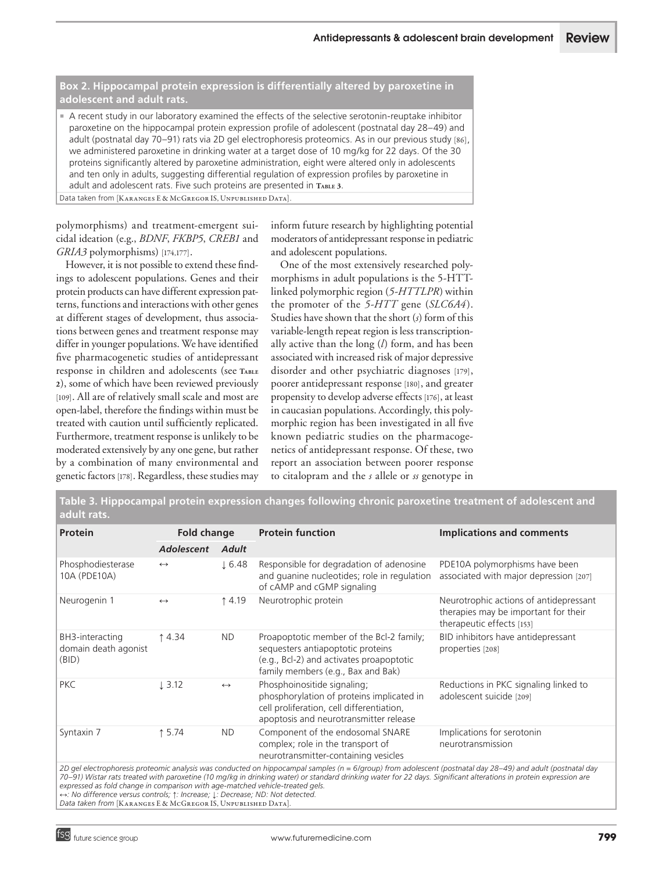**Box 2. Hippocampal protein expression is differentially altered by paroxetine in adolescent and adult rats.**

n A recent study in our laboratory examined the effects of the selective serotonin-reuptake inhibitor paroxetine on the hippocampal protein expression profile of adolescent (postnatal day 28–49) and adult (postnatal day 70–91) rats via 2D gel electrophoresis proteomics. As in our previous study [86], we administered paroxetine in drinking water at a target dose of 10 mg/kg for 22 days. Of the 30 proteins significantly altered by paroxetine administration, eight were altered only in adolescents and ten only in adults, suggesting differential regulation of expression profiles by paroxetine in adult and adolescent rats. Five such proteins are presented in TABLE 3.

Data taken from [KARANGES E & McGREGOR IS, UNPUBLISHED DATA].

polymorphisms) and treatment-emergent suicidal ideation (e.g., *BDNF*, *FKBP5*, *CREB1* and *GRIA3* polymorphisms) [174,177].

However, it is not possible to extend these findings to adolescent populations. Genes and their protein products can have different expression patterns, functions and interactions with other genes at different stages of development, thus associations between genes and treatment response may differ in younger populations. We have identified five pharmacogenetic studies of antidepressant response in children and adolescents (see TABLE **<sup>2</sup>**), some of which have been reviewed previously [109]. All are of relatively small scale and most are open-label, therefore the findings within must be treated with caution until sufficiently replicated. Furthermore, treatment response is unlikely to be moderated extensively by any one gene, but rather by a combination of many environmental and genetic factors [178]. Regardless, these studies may inform future research by highlighting potential moderators of antidepressant response in pediatric and adolescent populations.

One of the most extensively researched polymorphisms in adult populations is the 5-HTTlinked polymorphic region (*5-HTTLPR*) within the promoter of the *5-HTT* gene (*SLC6A4*). Studies have shown that the short (*s*) form of this variable-length repeat region is less transcriptionally active than the long (*l*) form, and has been associated with increased risk of major depressive disorder and other psychiatric diagnoses [179], poorer antidepressant response [180], and greater propensity to develop adverse effects [176], at least in caucasian populations. Accordingly, this polymorphic region has been investigated in all five known pediatric studies on the pharmacogenetics of antidepressant response. Of these, two report an association between poorer response to citalopram and the *s* allele or *ss* genotype in

**Table 3. Hippocampal protein expression changes following chronic paroxetine treatment of adolescent and adult rats.**

| Protein                                                                                                                                                                                                                                                                                                                                                                                                           | Fold change       |                   | <b>Protein function</b>                                                                                                                                         | <b>Implications and comments</b>                                                                            |  |  |  |  |
|-------------------------------------------------------------------------------------------------------------------------------------------------------------------------------------------------------------------------------------------------------------------------------------------------------------------------------------------------------------------------------------------------------------------|-------------------|-------------------|-----------------------------------------------------------------------------------------------------------------------------------------------------------------|-------------------------------------------------------------------------------------------------------------|--|--|--|--|
|                                                                                                                                                                                                                                                                                                                                                                                                                   | <b>Adolescent</b> | <b>Adult</b>      |                                                                                                                                                                 |                                                                                                             |  |  |  |  |
| Phosphodiesterase<br>10A (PDE10A)                                                                                                                                                                                                                                                                                                                                                                                 | $\leftrightarrow$ | $\perp$ 6.48      | Responsible for degradation of adenosine<br>and quanine nucleotides; role in regulation<br>of cAMP and cGMP signaling                                           | PDE10A polymorphisms have been<br>associated with major depression [207]                                    |  |  |  |  |
| Neurogenin 1                                                                                                                                                                                                                                                                                                                                                                                                      | $\leftrightarrow$ | ↑4.19             | Neurotrophic protein                                                                                                                                            | Neurotrophic actions of antidepressant<br>therapies may be important for their<br>therapeutic effects [153] |  |  |  |  |
| BH3-interacting<br>domain death agonist<br>(BID)                                                                                                                                                                                                                                                                                                                                                                  | ↑4.34             | <b>ND</b>         | Proapoptotic member of the Bcl-2 family;<br>sequesters antiapoptotic proteins<br>(e.g., Bcl-2) and activates proapoptotic<br>family members (e.g., Bax and Bak) | BID inhibitors have antidepressant<br>properties [208]                                                      |  |  |  |  |
| <b>PKC</b>                                                                                                                                                                                                                                                                                                                                                                                                        | $\downarrow$ 3.12 | $\leftrightarrow$ | Phosphoinositide signaling;<br>phosphorylation of proteins implicated in<br>cell proliferation, cell differentiation,<br>apoptosis and neurotransmitter release | Reductions in PKC signaling linked to<br>adolescent suicide [209]                                           |  |  |  |  |
| Syntaxin 7                                                                                                                                                                                                                                                                                                                                                                                                        | ↑ 5.74            | <b>ND</b>         | Component of the endosomal SNARE<br>complex; role in the transport of<br>neurotransmitter-containing vesicles                                                   | Implications for serotonin<br>neurotransmission                                                             |  |  |  |  |
| 2D gel electrophoresis proteomic analysis was conducted on hippocampal samples (n = 6/group) from adolescent (postnatal day 28–49) and adult (postnatal day<br>70-91) Wistar rats treated with paroxetine (10 mg/kg in drinking water) or standard drinking water for 22 days. Significant alterations in protein expression are<br>expressed as fold change in comparison with age-matched vehicle-treated gels. |                   |                   |                                                                                                                                                                 |                                                                                                             |  |  |  |  |

↔*: No difference versus controls;* ↑*: Increase;* ↓*: Decrease; ND: Not detected.*

*Data taken from* [Karanges E & McGregor IS, Unpublished Data]*.*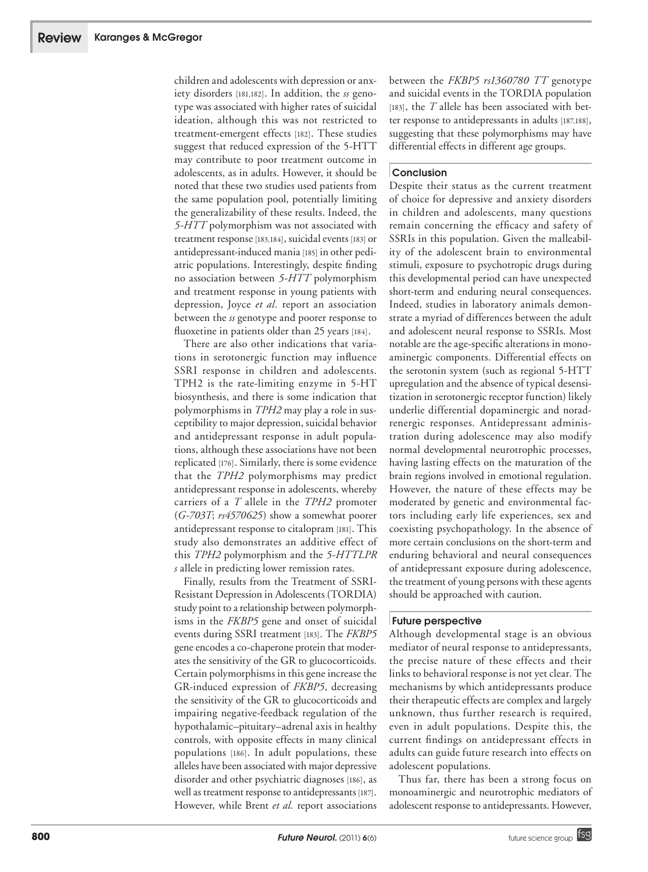children and adolescents with depression or anxiety disorders [181,182]. In addition, the *ss* genotype was associated with higher rates of suicidal ideation, although this was not restricted to treatment-emergent effects [182]. These studies suggest that reduced expression of the 5-HTT may contribute to poor treatment outcome in adolescents, as in adults. However, it should be noted that these two studies used patients from the same population pool, potentially limiting the generalizability of these results. Indeed, the *5-HTT* polymorphism was not associated with treatment response [183,184], suicidal events [183] or antidepressant-induced mania [185] in other pediatric populations. Interestingly, despite finding no association between *5-HTT* polymorphism and treatment response in young patients with depression, Joyce *et al.* report an association between the *ss* genotype and poorer response to fluoxetine in patients older than 25 years [184].

There are also other indications that variations in serotonergic function may influence SSRI response in children and adolescents. TPH2 is the rate-limiting enzyme in 5-HT biosynthesis, and there is some indication that polymorphisms in *TPH2* may play a role in susceptibility to major depression, suicidal behavior and antidepressant response in adult populations, although these associations have not been replicated [176]. Similarly, there is some evidence that the *TPH2* polymorphisms may predict antidepressant response in adolescents, whereby carriers of a *T* allele in the *TPH2* promoter (*G-703T*; *rs4570625*) show a somewhat poorer antidepressant response to citalopram [181]. This study also demonstrates an additive effect of this *TPH2* polymorphism and the *5-HTTLPR s* allele in predicting lower remission rates.

Finally, results from the Treatment of SSRI-Resistant Depression in Adolescents (TORDIA) study point to a relationship between polymorphisms in the *FKBP5* gene and onset of suicidal events during SSRI treatment [183]. The *FKBP5* gene encodes a co-chaperone protein that moderates the sensitivity of the GR to glucocorticoids. Certain polymorphisms in this gene increase the GR-induced expression of *FKBP5*, decreasing the sensitivity of the GR to glucocorticoids and impairing negative-feedback regulation of the hypothalamic–pituitary–adrenal axis in healthy controls, with opposite effects in many clinical populations [186]. In adult populations, these alleles have been associated with major depressive disorder and other psychiatric diagnoses [186], as well as treatment response to antidepressants [187]. However, while Brent *et al.* report associations between the *FKBP5 rs1360780 TT* genotype and suicidal events in the TORDIA population [183], the  $T$  allele has been associated with better response to antidepressants in adults [187,188], suggesting that these polymorphisms may have differential effects in different age groups.

## Conclusion

Despite their status as the current treatment of choice for depressive and anxiety disorders in children and adolescents, many questions remain concerning the efficacy and safety of SSRIs in this population. Given the malleability of the adolescent brain to environmental stimuli, exposure to psychotropic drugs during this developmental period can have unexpected short-term and enduring neural consequences. Indeed, studies in laboratory animals demonstrate a myriad of differences between the adult and adolescent neural response to SSRIs. Most notable are the age-specific alterations in monoaminergic components. Differential effects on the serotonin system (such as regional 5-HTT upregulation and the absence of typical desensitization in serotonergic receptor function) likely underlie differential dopaminergic and noradrenergic responses. Antidepressant administration during adolescence may also modify normal developmental neurotrophic processes, having lasting effects on the maturation of the brain regions involved in emotional regulation. However, the nature of these effects may be moderated by genetic and environmental factors including early life experiences, sex and coexisting psychopathology. In the absence of more certain conclusions on the short-term and enduring behavioral and neural consequences of antidepressant exposure during adolescence, the treatment of young persons with these agents should be approached with caution.

#### Future perspective

Although developmental stage is an obvious mediator of neural response to antidepressants, the precise nature of these effects and their links to behavioral response is not yet clear. The mechanisms by which antidepressants produce their therapeutic effects are complex and largely unknown, thus further research is required, even in adult populations. Despite this, the current findings on antidepressant effects in adults can guide future research into effects on adolescent populations.

Thus far, there has been a strong focus on monoaminergic and neurotrophic mediators of adolescent response to antidepressants. However,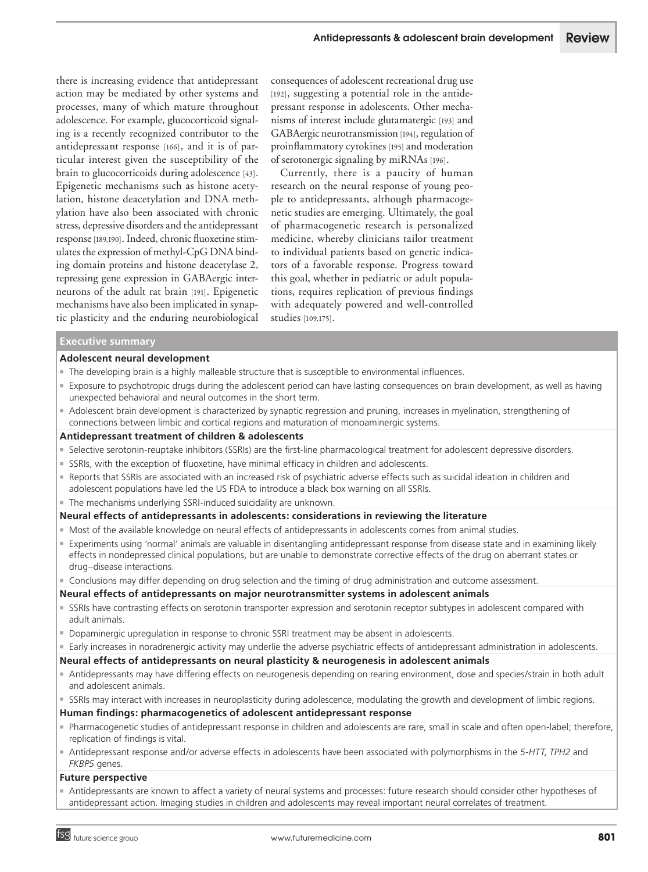there is increasing evidence that antidepressant action may be mediated by other systems and processes, many of which mature throughout adolescence. For example, glucocorticoid signaling is a recently recognized contributor to the antidepressant response [166], and it is of particular interest given the susceptibility of the brain to glucocorticoids during adolescence [43]. Epigenetic mechanisms such as histone acetylation, histone deacetylation and DNA methylation have also been associated with chronic stress, depressive disorders and the antidepressant response [189,190]. Indeed, chronic fluoxetine stimulates the expression of methyl-CpG DNA binding domain proteins and histone deacetylase 2, repressing gene expression in GABAergic interneurons of the adult rat brain [191]. Epigenetic mechanisms have also been implicated in synaptic plasticity and the enduring neurobiological

consequences of adolescent recreational drug use [192], suggesting a potential role in the antidepressant response in adolescents. Other mechanisms of interest include glutamatergic [193] and GABAergic neurotransmission [194], regulation of proinflammatory cytokines [195] and moderation of serotonergic signaling by miRNAs [196].

Currently, there is a paucity of human research on the neural response of young people to antidepressants, although pharmacogenetic studies are emerging. Ultimately, the goal of pharmacogenetic research is personalized medicine, whereby clinicians tailor treatment to individual patients based on genetic indicators of a favorable response. Progress toward this goal, whether in pediatric or adult populations, requires replication of previous findings with adequately powered and well-controlled studies [109,175].

## **Executive summary**

#### **Adolescent neural development**

- The developing brain is a highly malleable structure that is susceptible to environmental influences.
- Exposure to psychotropic drugs during the adolescent period can have lasting consequences on brain development, as well as having unexpected behavioral and neural outcomes in the short term.
- n Adolescent brain development is characterized by synaptic regression and pruning, increases in myelination, strengthening of connections between limbic and cortical regions and maturation of monoaminergic systems.

#### **Antidepressant treatment of children & adolescents**

- <sup>=</sup> Selective serotonin-reuptake inhibitors (SSRIs) are the first-line pharmacological treatment for adolescent depressive disorders.
- SSRIs, with the exception of fluoxetine, have minimal efficacy in children and adolescents.
- Peports that SSRIs are associated with an increased risk of psychiatric adverse effects such as suicidal ideation in children and adolescent populations have led the US FDA to introduce a black box warning on all SSRIs.
- $\blacksquare$  The mechanisms underlying SSRI-induced suicidality are unknown.

## **Neural effects of antidepressants in adolescents: considerations in reviewing the literature**

- $n$  Most of the available knowledge on neural effects of antidepressants in adolescents comes from animal studies.
- <sup>n</sup>Experiments using 'normal' animals are valuable in disentangling antidepressant response from disease state and in examining likely effects in nondepressed clinical populations, but are unable to demonstrate corrective effects of the drug on aberrant states or drug–disease interactions.
- **EX Conclusions may differ depending on drug selection and the timing of drug administration and outcome assessment.**

#### **Neural effects of antidepressants on major neurotransmitter systems in adolescent animals**

- **SSRIs have contrasting effects on serotonin transporter expression and serotonin receptor subtypes in adolescent compared with** adult animals.
- Dopaminergic upregulation in response to chronic SSRI treatment may be absent in adolescents.
- Early increases in noradrenergic activity may underlie the adverse psychiatric effects of antidepressant administration in adolescents.

#### **Neural effects of antidepressants on neural plasticity & neurogenesis in adolescent animals**

- n Antidepressants may have differing effects on neurogenesis depending on rearing environment, dose and species/strain in both adult and adolescent animals.
- <sup>=</sup> SSRIs may interact with increases in neuroplasticity during adolescence, modulating the growth and development of limbic regions.

# **Human findings: pharmacogenetics of adolescent antidepressant response**

- Pharmacogenetic studies of antidepressant response in children and adolescents are rare, small in scale and often open-label; therefore, replication of findings is vital.
- nantidepressant response and/or adverse effects in adolescents have been associated with polymorphisms in the 5-HTT, *TPH2* and *FKBP5* genes.

## **Future perspective**

n Antidepressants are known to affect a variety of neural systems and processes: future research should consider other hypotheses of antidepressant action. Imaging studies in children and adolescents may reveal important neural correlates of treatment.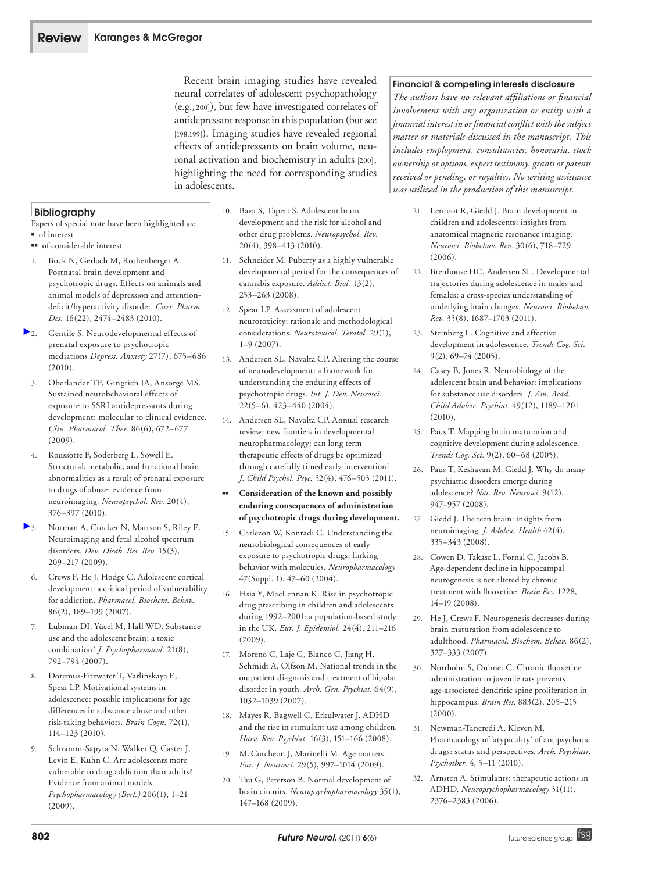Recent brain imaging studies have revealed neural correlates of adolescent psychopathology (e.g., 200]), but few have investigated correlates of antidepressant response in this population (but see [198,199]). Imaging studies have revealed regional effects of antidepressants on brain volume, neuronal activation and biochemistry in adults [200], highlighting the need for corresponding studies in adolescents.

# **Bibliography**

Papers of special note have been highlighted as: <sup>n</sup> of interest

- $\blacksquare$  of considerable interest
- 1. Bock N, Gerlach M, Rothenberger A. Postnatal brain development and psychotropic drugs. Effects on animals and animal models of depression and attentiondeficit/hyperactivity disorder*. Curr. Pharm. Des.* 16(22), 2474–2483 (2010).
- 2. Gentile S. Neurodevelopmental effects of prenatal exposure to psychotropic mediations *Depress. Anxiety* 27(7), 675–686 (2010).
	- 3. Oberlander TF, Gingrich JA, Ansorge MS. Sustained neurobehavioral effects of exposure to SSRI antidepressants during development: molecular to clinical evidence*. Clin. Pharmacol. Ther.* 86(6), 672–677 (2009).
	- 4. Roussotte F, Soderberg L, Sowell E. Structural, metabolic, and functional brain abnormalities as a result of prenatal exposure to drugs of abuse: evidence from neuroimaging*. Neuropsychol. Rev.* 20(4), 376–397 (2010).
- 5. Norman A, Crocker N, Mattson S, Riley E. Neuroimaging and fetal alcohol spectrum disorders*. Dev. Disab. Res. Rev.* 15(3), 209–217 (2009).
- 6. Crews F, He J, Hodge C. Adolescent cortical development: a critical period of vulnerability for addiction*. Pharmacol. Biochem. Behav.*  86(2), 189–199 (2007).
- 7. Lubman DI, Yücel M, Hall WD. Substance use and the adolescent brain: a toxic combination? *J. Psychopharmacol.* 21(8), 792–794 (2007).
- 8. Doremus-Fitzwater T, Varlinskaya E, Spear LP. Motivational systems in adolescence: possible implications for age differences in substance abuse and other risk-taking behaviors*. Brain Cogn.* 72(1), 114–123 (2010).
- 9. Schramm-Sapyta N, Walker Q, Caster J, Levin E, Kuhn C. Are adolescents more vulnerable to drug addiction than adults? Evidence from animal models*. Psychopharmacology (Berl.)* 206(1), 1–21 (2009).
- 10. Bava S, Tapert S. Adolescent brain development and the risk for alcohol and other drug problems*. Neuropsychol. Rev.*  20(4), 398–413 (2010).
- 11. Schneider M. Puberty as a highly vulnerable developmental period for the consequences of cannabis exposure*. Addict. Biol.* 13(2), 253–263 (2008).
- 12. Spear LP. Assessment of adolescent neurotoxicity: rationale and methodological considerations*. Neurotoxicol. Teratol.* 29(1), 1–9 (2007).
- 13. Andersen SL, Navalta CP. Altering the course of neurodevelopment: a framework for understanding the enduring effects of psychotropic drugs*. Int. J. Dev. Neurosci.*  22(5–6), 423–440 (2004).
- 14. Andersen SL, Navalta CP. Annual research review: new frontiers in developmental neuropharmacology: can long term therapeutic effects of drugs be optimized through carefully timed early intervention? *J. Child Psychol. Psyc.* 52(4), 476–503 (2011).
- **n** Consideration of the known and possibly **enduring consequences of administration of psychotropic drugs during development.**
- 15. Carlezon W, Konradi C. Understanding the neurobiological consequences of early exposure to psychotropic drugs: linking behavior with molecules*. Neuropharmacology*  47(Suppl. 1), 47–60 (2004).
- 16. Hsia Y, MacLennan K. Rise in psychotropic drug prescribing in children and adolescents during 1992–2001: a population-based study in the UK*. Eur. J. Epidemiol.* 24(4), 211–216 (2009).
- 17. Moreno C, Laje G, Blanco C, Jiang H, Schmidt A, Olfson M. National trends in the outpatient diagnosis and treatment of bipolar disorder in youth*. Arch. Gen. Psychiat.* 64(9), 1032–1039 (2007).
- 18. Mayes R, Bagwell C, Erkulwater J. ADHD and the rise in stimulant use among children*. Harv. Rev. Psychiat.* 16(3), 151–166 (2008).
- 19. McCutcheon J, Marinelli M. Age matters*. Eur. J. Neurosci.* 29(5), 997–1014 (2009).
- 20. Tau G, Peterson B. Normal development of brain circuits*. Neuropsychopharmacology* 35(1), 147–168 (2009).

## Financial & competing interests disclosure

*The authors have no relevant affiliations or financial involvement with any organization or entity with a financial interest in or financial conflict with the subject matter or materials discussed in the manuscript. This includes employment, consultancies, honoraria, stock ownership or options, expert testimony, grants or patents received or pending, or royalties. No writing assistance was utilized in the production of this manuscript.*

- 21. Lenroot R, Giedd J. Brain development in children and adolescents: insights from anatomical magnetic resonance imaging*. Neurosci. Biobehav. Rev.* 30(6), 718–729  $(2006)$ .
- 22. Brenhouse HC, Andersen SL. Developmental trajectories during adolescence in males and females: a cross-species understanding of underlying brain changes*. Neurosci. Biobehav. Rev.* 35(8), 1687–1703 (2011).
- 23. Steinberg L. Cognitive and affective development in adolescence*. Trends Cog. Sci.*  9(2), 69–74 (2005).
- 24. Casey B, Jones R. Neurobiology of the adolescent brain and behavior: implications for substance use disorders*. J. Am. Acad. Child Adolesc. Psychiat.* 49(12), 1189–1201 (2010).
- 25. Paus T. Mapping brain maturation and cognitive development during adolescence*. Trends Cog. Sci.* 9(2), 60–68 (2005).
- 26. Paus T, Keshavan M, Giedd J. Why do many psychiatric disorders emerge during adolescence? *Nat. Rev. Neurosci.* 9(12), 947–957 (2008).
- 27. Giedd J. The teen brain: insights from neuroimaging*. J. Adolesc. Health* 42(4), 335–343 (2008).
- 28. Cowen D, Takase L, Fornal C, Jacobs B. Age-dependent decline in hippocampal neurogenesis is not altered by chronic treatment with fluoxetine*. Brain Res.* 1228, 14–19 (2008).
- 29. He J, Crews F. Neurogenesis decreases during brain maturation from adolescence to adulthood*. Pharmacol. Biochem. Behav.* 86(2), 327–333 (2007).
- 30. Norrholm S, Ouimet C. Chronic fluoxetine administration to juvenile rats prevents age-associated dendritic spine proliferation in hippocampus*. Brain Res.* 883(2), 205–215  $(2000)$ .
- 31. Newman-Tancredi A, Kleven M. Pharmacology of 'atypicality' of antipsychotic drugs: status and perspectives*. Arch. Psychiatr. Psychother.* 4, 5–11 (2010).
- 32. Arnsten A. Stimulants: therapeutic actions in ADHD*. Neuropsychopharmacology* 31(11), 2376–2383 (2006).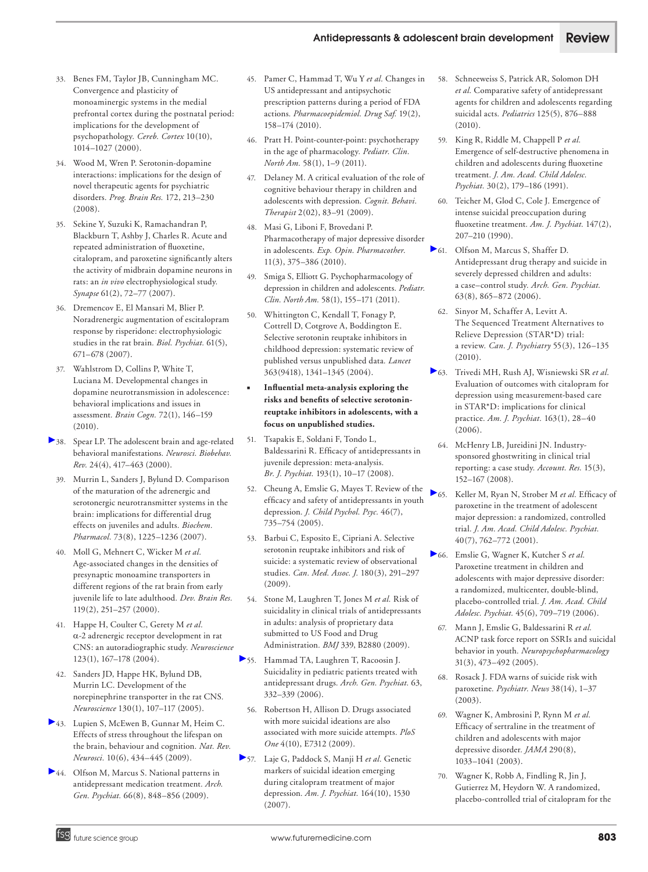- 33. Benes FM, Taylor JB, Cunningham MC. Convergence and plasticity of monoaminergic systems in the medial prefrontal cortex during the postnatal period: implications for the development of psychopathology*. Cereb. Cortex* 10(10), 1014–1027 (2000).
- 34. Wood M, Wren P. Serotonin-dopamine interactions: implications for the design of novel therapeutic agents for psychiatric disorders*. Prog. Brain Res.* 172, 213–230 (2008).
- 35. Sekine Y, Suzuki K, Ramachandran P, Blackburn T, Ashby J, Charles R. Acute and repeated administration of fluoxetine, citalopram, and paroxetine significantly alters the activity of midbrain dopamine neurons in rats: an *in vivo* electrophysiological study*. Synapse* 61(2), 72–77 (2007).
- 36. Dremencov E, El Mansari M, Blier P. Noradrenergic augmentation of escitalopram response by risperidone: electrophysiologic studies in the rat brain*. Biol. Psychiat.* 61(5), 671–678 (2007).
- 37. Wahlstrom D, Collins P, White T, Luciana M. Developmental changes in dopamine neurotransmission in adolescence: behavioral implications and issues in assessment*. Brain Cogn.* 72(1), 146–159 (2010).
- 38. Spear LP. The adolescent brain and age-related behavioral manifestations*. Neurosci. Biobehav. Rev.* 24(4), 417–463 (2000).
	- 39. Murrin L, Sanders J, Bylund D. Comparison of the maturation of the adrenergic and serotonergic neurotransmitter systems in the brain: implications for differential drug effects on juveniles and adults*. Biochem. Pharmacol.* 73(8), 1225–1236 (2007).
	- 40. Moll G, Mehnert C, Wicker M *et al.* Age-associated changes in the densities of presynaptic monoamine transporters in different regions of the rat brain from early juvenile life to late adulthood*. Dev. Brain Res.*  119(2), 251–257 (2000).
	- 41. Happe H, Coulter C, Gerety M *et al.* a-2 adrenergic receptor development in rat CNS: an autoradiographic study*. Neuroscience*  123(1), 167–178 (2004).
	- 42. Sanders JD, Happe HK, Bylund DB, Murrin LC. Development of the norepinephrine transporter in the rat CNS*. Neuroscience* 130(1), 107–117 (2005).
- 43. Lupien S, McEwen B, Gunnar M, Heim C. Effects of stress throughout the lifespan on the brain, behaviour and cognition*. Nat. Rev. Neurosci.* 10(6), 434–445 (2009).
- 44. Olfson M, Marcus S. National patterns in antidepressant medication treatment*. Arch. Gen. Psychiat.* 66(8), 848–856 (2009).
- 45. Pamer C, Hammad T, Wu Y *et al.* Changes in US antidepressant and antipsychotic prescription patterns during a period of FDA actions*. Pharmacoepidemiol. Drug Saf.* 19(2), 158–174 (2010).
- 46. Pratt H. Point-counter-point: psychotherapy in the age of pharmacology*. Pediatr. Clin. North Am.* 58(1), 1–9 (2011).
- 47. Delaney M. A critical evaluation of the role of cognitive behaviour therapy in children and adolescents with depression*. Cognit. Behavi. Therapist* 2(02), 83–91 (2009).
- 48. Masi G, Liboni F, Brovedani P. Pharmacotherapy of major depressive disorder in adolescents*. Exp. Opin. Pharmacother.*  11(3), 375–386 (2010).
- 49. Smiga S, Elliott G. Psychopharmacology of depression in children and adolescents*. Pediatr. Clin. North Am.* 58(1), 155–171 (2011).
- 50. Whittington C, Kendall T, Fonagy P, Cottrell D, Cotgrove A, Boddington E. Selective serotonin reuptake inhibitors in childhood depression: systematic review of published versus unpublished data*. Lancet*  363(9418), 1341–1345 (2004).
- <sup>n</sup> **Influential meta-analysis exploring the risks and benefits of selective serotoninreuptake inhibitors in adolescents, with a focus on unpublished studies.**
- 51. Tsapakis E, Soldani F, Tondo L, Baldessarini R. Efficacy of antidepressants in juvenile depression: meta-analysis*. Br. J. Psychiat.* 193(1), 10–17 (2008).
- 52. Cheung A, Emslie G, Mayes T. Review of the efficacy and safety of antidepressants in youth depression*. J. Child Psychol. Psyc.* 46(7), 735–754 (2005).
- 53. Barbui C, Esposito E, Cipriani A. Selective serotonin reuptake inhibitors and risk of suicide: a systematic review of observational studies*. Can. Med. Assoc. J.* 180(3), 291–297 (2009).
- 54. Stone M, Laughren T, Jones M *et al.* Risk of suicidality in clinical trials of antidepressants in adults: analysis of proprietary data submitted to US Food and Drug Administration*. BMJ* 339, B2880 (2009).
- [5](http://www.futuremedicine.com/action/showLinks?doi=10.2217%2Ffnl.11.51&pmid=16520440&crossref=10.1001%2Farchpsyc.63.3.332&coi=1%3ACAS%3A528%3ADC%252BD28XislGis7Y%253D&citationId=p_60)5. Hammad TA, Laughren T, Racoosin J. Suicidality in pediatric patients treated with antidepressant drugs*. Arch. Gen. Psychiat.* 63, 332–339 (2006).
- 56. Robertson H, Allison D. Drugs associated with more suicidal ideations are also associated with more suicide attempts*. PloS One* 4(10), E7312 (2009).
- [5](http://www.futuremedicine.com/action/showLinks?doi=10.2217%2Ffnl.11.51&pmid=17898344&crossref=10.1176%2Fappi.ajp.2007.06122018&citationId=p_62)7. Laje G, Paddock S, Manji H *et al.* Genetic markers of suicidal ideation emerging during citalopram treatment of major depression*. Am. J. Psychiat.* 164(10), 1530 (2007).
- 58. Schneeweiss S, Patrick AR, Solomon DH *et al.* Comparative safety of antidepressant agents for children and adolescents regarding suicidal acts*. Pediatrics* 125(5), 876–888 (2010).
- 59. King R, Riddle M, Chappell P *et al.* Emergence of self-destructive phenomena in children and adolescents during fluoxetine treatment*. J. Am. Acad. Child Adolesc. Psychiat.* 30(2), 179–186 (1991).
- 60. Teicher M, Glod C, Cole J. Emergence of intense suicidal preoccupation during fluoxetine treatment*. Am. J. Psychiat.* 147(2), 207–210 (1990).
- [6](http://www.futuremedicine.com/action/showLinks?doi=10.2217%2Ffnl.11.51&pmid=16894062&crossref=10.1001%2Farchpsyc.63.8.865&citationId=p_66)1. Olfson M, Marcus S, Shaffer D. Antidepressant drug therapy and suicide in severely depressed children and adults: a case–control study*. Arch. Gen. Psychiat.*  63(8), 865–872 (2006).
- 62. Sinyor M, Schaffer A, Levitt A. The Sequenced Treatment Alternatives to Relieve Depression (STAR\*D) trial: a review*. Can. J. Psychiatry* 55(3), 126–135 (2010).
- [6](http://www.futuremedicine.com/action/showLinks?doi=10.2217%2Ffnl.11.51&pmid=16390886&crossref=10.1176%2Fappi.ajp.163.1.28&citationId=p_68)3. Trivedi MH, Rush AJ, Wisniewski SR *et al.* Evaluation of outcomes with citalopram for depression using measurement-based care in STAR\*D: implications for clinical practice*. Am. J. Psychiat.* 163(1), 28–40  $(2006)$ .
- 64. McHenry LB, Jureidini JN. Industrysponsored ghostwriting in clinical trial reporting: a case study*. Account. Res.* 15(3), 152–167 (2008).
- [6](http://www.futuremedicine.com/action/showLinks?doi=10.2217%2Ffnl.11.51&pmid=11437014&crossref=10.1097%2F00004583-200107000-00010&coi=1%3ASTN%3A280%3ADC%252BD3MzotVehtA%253D%253D&citationId=p_70)5. Keller M, Ryan N, Strober M *et al.* Efficacy of paroxetine in the treatment of adolescent major depression: a randomized, controlled trial*. J. Am. Acad. Child Adolesc. Psychiat.*  40(7), 762–772 (2001).
- [6](http://www.futuremedicine.com/action/showLinks?doi=10.2217%2Ffnl.11.51&pmid=16721321&crossref=10.1097%2F01.chi.0000214189.73240.63&citationId=p_71)6. Emslie G, Wagner K, Kutcher S *et al.* Paroxetine treatment in children and adolescents with major depressive disorder: a randomized, multicenter, double-blind, placebo-controlled trial*. J. Am. Acad. Child Adolesc. Psychiat.* 45(6), 709–719 (2006).
- 67. Mann J, Emslie G, Baldessarini R *et al.* ACNP task force report on SSRIs and suicidal behavior in youth*. Neuropsychopharmacology*  31(3), 473–492 (2005).
- Rosack J. FDA warns of suicide risk with paroxetine*. Psychiatr. News* 38(14), 1–37 (2003).
- 69. Wagner K, Ambrosini P, Rynn M *et al.* Efficacy of sertraline in the treatment of children and adolescents with major depressive disorder*. JAMA* 290(8), 1033–1041 (2003).
- Wagner K, Robb A, Findling R, Jin J, Gutierrez M, Heydorn W. A randomized, placebo-controlled trial of citalopram for the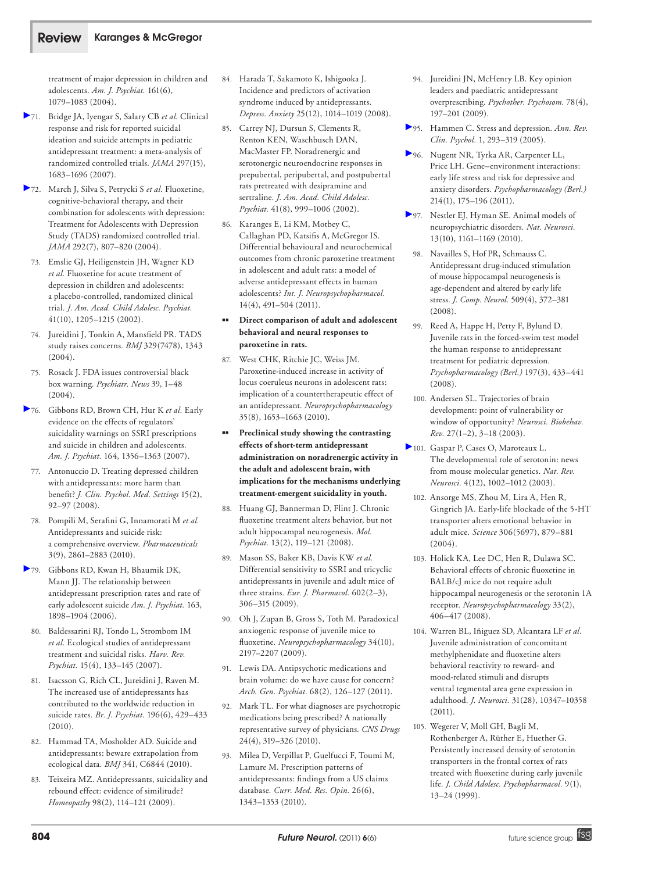# Review Karanges & McGregor

treatment of major depression in children and adolescents*. Am. J. Psychiat.* 161(6), 1079–1083 (2004).

- 71. Bridge JA, Iyengar S, Salary CB *et al.* Clinical response and risk for reported suicidal ideation and suicide attempts in pediatric antidepressant treatment: a meta-analysis of randomized controlled trials*. JAMA* 297(15), 1683–1696 (2007).
- 72. March J, Silva S, Petrycki S *et al.* Fluoxetine, cognitive-behavioral therapy, and their combination for adolescents with depression: Treatment for Adolescents with Depression Study (TADS) randomized controlled trial. *JAMA* 292(7), 807–820 (2004).
- 73. Emslie GJ, Heiligenstein JH, Wagner KD *et al.* Fluoxetine for acute treatment of depression in children and adolescents: a placebo-controlled, randomized clinical trial*. J. Am. Acad. Child Adolesc. Psychiat.*  41(10), 1205–1215 (2002).
- 74. Jureidini J, Tonkin A, Mansfield PR. TADS study raises concerns*. BMJ* 329(7478), 1343 (2004).
- 75. Rosack J. FDA issues controversial black box warning*. Psychiatr. News* 39, 1–48 (2004).
- 76. Gibbons RD, Brown CH, Hur K *et al.* Early evidence on the effects of regulators' suicidality warnings on SSRI prescriptions and suicide in children and adolescents*. Am. J. Psychiat.* 164, 1356–1363 (2007).
- 77. Antonuccio D. Treating depressed children with antidepressants: more harm than benefit? *J. Clin. Psychol. Med. Settings* 15(2), 92–97 (2008).
- 78. Pompili M, Serafini G, Innamorati M *et al.* Antidepressants and suicide risk: a comprehensive overview*. Pharmaceuticals*  3(9), 2861–2883 (2010).
- 79. Gibbons RD, Kwan H, Bhaumik DK, Mann JJ. The relationship between antidepressant prescription rates and rate of early adolescent suicide *Am. J. Psychiat.* 163, 1898–1904 (2006).
- 80. Baldessarini RJ, Tondo L, Strombom IM *et al.* Ecological studies of antidepressant treatment and suicidal risks*. Harv. Rev. Psychiat.* 15(4), 133–145 (2007).
- 81. Isacsson G, Rich CL, Jureidini J, Raven M. The increased use of antidepressants has contributed to the worldwide reduction in suicide rates*. Br. J. Psychiat.* 196(6), 429–433 (2010).
- 82. Hammad TA, Mosholder AD. Suicide and antidepressants: beware extrapolation from ecological data*. BMJ* 341, C6844 (2010).
- 83. Teixeira MZ. Antidepressants, suicidality and rebound effect: evidence of similitude? *Homeopathy* 98(2), 114–121 (2009).
- 84. Harada T, Sakamoto K, Ishigooka J. Incidence and predictors of activation syndrome induced by antidepressants*. Depress. Anxiety* 25(12), 1014–1019 (2008).
- 85. Carrey NJ, Dursun S, Clements R, Renton KEN, Waschbusch DAN, MacMaster FP. Noradrenergic and serotonergic neuroendocrine responses in prepubertal, peripubertal, and postpubertal rats pretreated with desipramine and sertraline*. J. Am. Acad. Child Adolesc. Psychiat.* 41(8), 999–1006 (2002).
- 86. Karanges E, Li KM, Motbey C, Callaghan PD, Katsifis A, McGregor IS. Differential behavioural and neurochemical outcomes from chronic paroxetine treatment in adolescent and adult rats: a model of adverse antidepressant effects in human adolescents? *Int. J. Neuropsychopharmacol.*  14(4), 491–504 (2011).
- Direct comparison of adult and adolescent **behavioral and neural responses to paroxetine in rats.**
- 87. West CHK, Ritchie JC, Weiss JM. Paroxetine-induced increase in activity of locus coeruleus neurons in adolescent rats: implication of a countertherapeutic effect of an antidepressant*. Neuropsychopharmacology*  35(8), 1653–1663 (2010).
- **n Preclinical study showing the contrasting effects of short-term antidepressant administration on noradrenergic activity in the adult and adolescent brain, with implications for the mechanisms underlying treatment-emergent suicidality in youth.**
- 88. Huang GJ, Bannerman D, Flint J. Chronic fluoxetine treatment alters behavior, but not adult hippocampal neurogenesis*. Mol. Psychiat.* 13(2), 119–121 (2008).
- 89. Mason SS, Baker KB, Davis KW *et al.* Differential sensitivity to SSRI and tricyclic antidepressants in juvenile and adult mice of three strains*. Eur. J. Pharmacol.* 602(2–3), 306–315 (2009).
- 90. Oh J, Zupan B, Gross S, Toth M. Paradoxical anxiogenic response of juvenile mice to fluoxetine*. Neuropsychopharmacology* 34(10), 2197–2207 (2009).
- 91. Lewis DA. Antipsychotic medications and brain volume: do we have cause for concern? *Arch. Gen. Psychiat.* 68(2), 126–127 (2011).
- 92. Mark TL. For what diagnoses are psychotropic medications being prescribed? A nationally representative survey of physicians*. CNS Drugs*  24(4), 319–326 (2010).
- 93. Milea D, Verpillat P, Guelfucci F, Toumi M, Lamure M. Prescription patterns of antidepressants: findings from a US claims database*. Curr. Med. Res. Opin.* 26(6), 1343–1353 (2010).
- 94. Jureidini JN, McHenry LB. Key opinion leaders and paediatric antidepressant overprescribing*. Psychother. Psychosom.* 78(4), 197–201 (2009).
- 95. Hammen C. Stress and depression*. Ann. Rev. Clin. Psychol.* 1, 293–319 (2005).
- 96. Nugent NR, Tyrka AR, Carpenter LL, Price LH. Gene–environment interactions: early life stress and risk for depressive and anxiety disorders*. Psychopharmacology (Berl.)*  214(1), 175–196 (2011).
- 97. Nestler EJ, Hyman SE. Animal models of neuropsychiatric disorders*. Nat. Neurosci.*  13(10), 1161–1169 (2010).
	- 98. Navailles S, Hof PR, Schmauss C. Antidepressant drug-induced stimulation of mouse hippocampal neurogenesis is age-dependent and altered by early life stress*. J. Comp. Neurol.* 509(4), 372–381 (2008).
	- 99. Reed A, Happe H, Petty F, Bylund D. Juvenile rats in the forced-swim test model the human response to antidepressant treatment for pediatric depression*. Psychopharmacology (Berl.)* 197(3), 433–441 (2008).
	- 100. Andersen SL. Trajectories of brain development: point of vulnerability or window of opportunity? *Neurosci. Biobehav. Rev.* 27(1–2), 3–18 (2003).
- 101. Gaspar P, Cases O, Maroteaux L. The developmental role of serotonin: news from mouse molecular genetics*. Nat. Rev. Neurosci.* 4(12), 1002–1012 (2003).
	- 102. Ansorge MS, Zhou M, Lira A, Hen R, Gingrich JA. Early-life blockade of the 5-HT transporter alters emotional behavior in adult mice*. Science* 306(5697), 879–881  $(2004)$ .
- 103. Holick KA, Lee DC, Hen R, Dulawa SC. Behavioral effects of chronic fluoxetine in BALB/cJ mice do not require adult hippocampal neurogenesis or the serotonin 1A receptor*. Neuropsychopharmacology* 33(2), 406–417 (2008).
- 104. Warren BL, Iñiguez SD, Alcantara LF *et al.* Juvenile administration of concomitant methylphenidate and fluoxetine alters behavioral reactivity to reward- and mood-related stimuli and disrupts ventral tegmental area gene expression in adulthood*. J. Neurosci.* 31(28), 10347–10358 (2011).
- 105. Wegerer V, Moll GH, Bagli M, Rothenberger A, Rüther E, Huether G. Persistently increased density of serotonin transporters in the frontal cortex of rats treated with fluoxetine during early juvenile life*. J. Child Adolesc. Psychopharmacol.* 9(1), 13–24 (1999).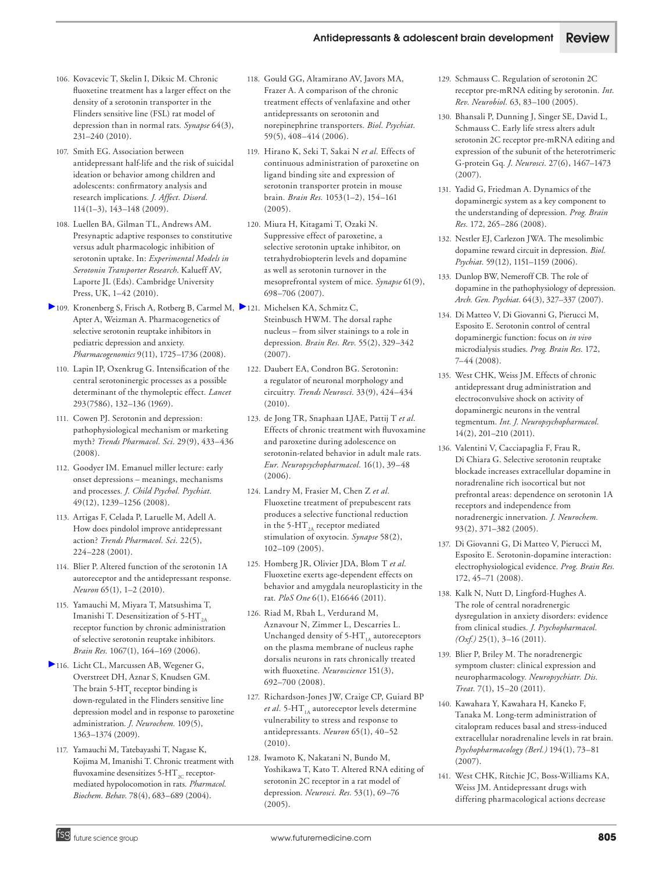- 106. Kovacevic T, Skelin I, Diksic M. Chronic fluoxetine treatment has a larger effect on the density of a serotonin transporter in the Flinders sensitive line (FSL) rat model of depression than in normal rats*. Synapse* 64(3), 231–240 (2010).
- 107. Smith EG. Association between antidepressant half-life and the risk of suicidal ideation or behavior among children and adolescents: confirmatory analysis and research implications*. J. Affect. Disord.*  114(1–3), 143–148 (2009).
- 108. Luellen BA, Gilman TL, Andrews AM. Presynaptic adaptive responses to constitutive versus adult pharmacologic inhibition of serotonin uptake. In: *Experimental Models in Serotonin Transporter Research*. Kalueff AV, Laporte JL (Eds). Cambridge University Press, UK, 1–42 (2010).
- 109. Kronenberg S, Frisch A, Rotberg B, Carmel M, [1](http://www.futuremedicine.com/action/showLinks?doi=10.2217%2Ffnl.11.51&pmid=17316819&crossref=10.1016%2Fj.brainresrev.2007.01.002&citationId=p_128)21. Michelsen KA, Schmitz C, Apter A, Weizman A. Pharmacogenetics of selective serotonin reuptake inhibitors in pediatric depression and anxiety*. Pharmacogenomics* 9(11), 1725–1736 (2008).
- 110. Lapin IP, Oxenkrug G. Intensification of the central serotoninergic processes as a possible determinant of the thymoleptic effect*. Lancet*  293(7586), 132–136 (1969).
- 111. Cowen PJ. Serotonin and depression: pathophysiological mechanism or marketing myth? *Trends Pharmacol. Sci.* 29(9), 433–436 (2008).
- 112. Goodyer IM. Emanuel miller lecture: early onset depressions – meanings, mechanisms and processes*. J. Child Psychol. Psychiat.*  49(12), 1239–1256 (2008).
- 113. Artigas F, Celada P, Laruelle M, Adell A. How does pindolol improve antidepressant action? *Trends Pharmacol. Sci.* 22(5), 224–228 (2001).
- 114. Blier P. Altered function of the serotonin 1A autoreceptor and the antidepressant response*. Neuron* 65(1), 1–2 (2010).
- 115. Yamauchi M, Miyara T, Matsushima T, Imanishi T. Desensitization of  $5-HT_{2A}$ receptor function by chronic administration of selective serotonin reuptake inhibitors*. Brain Res.* 1067(1), 164–169 (2006).
- 116. Licht CL, Marcussen AB, Wegener G, Overstreet DH, Aznar S, Knudsen GM. The brain 5-HT $\rm _4$  receptor binding is down-regulated in the Flinders sensitive line depression model and in response to paroxetine administration*. J. Neurochem.* 109(5), 1363–1374 (2009).
	- 117. Yamauchi M, Tatebayashi T, Nagase K, Kojima M, Imanishi T. Chronic treatment with fluvoxamine desensitizes  $5-HT_{2C}$  receptormediated hypolocomotion in rats*. Pharmacol. Biochem. Behav.* 78(4), 683–689 (2004).
- 118. Gould GG, Altamirano AV, Javors MA, Frazer A. A comparison of the chronic treatment effects of venlafaxine and other antidepressants on serotonin and norepinephrine transporters*. Biol. Psychiat.*  59(5), 408–414 (2006).
- 119. Hirano K, Seki T, Sakai N *et al.* Effects of continuous administration of paroxetine on ligand binding site and expression of serotonin transporter protein in mouse brain*. Brain Res.* 1053(1–2), 154–161  $(2005)$ .
- 120. Miura H, Kitagami T, Ozaki N. Suppressive effect of paroxetine, a selective serotonin uptake inhibitor, on tetrahydrobiopterin levels and dopamine as well as serotonin turnover in the mesoprefrontal system of mice*. Synapse* 61(9), 698–706 (2007).
- Steinbusch HWM. The dorsal raphe nucleus – from silver stainings to a role in depression*. Brain Res. Rev.* 55(2), 329–342 (2007).
- 122. Daubert EA, Condron BG. Serotonin: a regulator of neuronal morphology and circuitry*. Trends Neurosci.* 33(9), 424–434 (2010).
- 123. de Jong TR, Snaphaan LJAE, Pattij T *et al.* Effects of chronic treatment with fluvoxamine and paroxetine during adolescence on serotonin-related behavior in adult male rats*. Eur. Neuropsychopharmacol.* 16(1), 39–48 (2006).
- 124. Landry M, Frasier M, Chen Z *et al.* Fluoxetine treatment of prepubescent rats produces a selective functional reduction in the 5-HT $_{24}$  receptor mediated stimulation of oxytocin*. Synapse* 58(2), 102–109 (2005).
- 125. Homberg JR, Olivier JDA, Blom T *et al.* Fluoxetine exerts age-dependent effects on behavior and amygdala neuroplasticity in the rat*. PloS One* 6(1), E16646 (2011).
- 126. Riad M, Rbah L, Verdurand M, Aznavour N, Zimmer L, Descarries L. Unchanged density of  $5-HT_{14}$  autoreceptors on the plasma membrane of nucleus raphe dorsalis neurons in rats chronically treated with fluoxetine*. Neuroscience* 151(3), 692–700 (2008).
- 127. Richardson-Jones JW, Craige CP, Guiard BP *et al.* 5-HT $_{14}$  autoreceptor levels determine vulnerability to stress and response to antidepressants*. Neuron* 65(1), 40–52 (2010).
- 128. Iwamoto K, Nakatani N, Bundo M, Yoshikawa T, Kato T. Altered RNA editing of serotonin 2C receptor in a rat model of depression*. Neurosci. Res.* 53(1), 69–76 (2005).
- 129. Schmauss C. Regulation of serotonin 2C receptor pre-mRNA editing by serotonin*. Int. Rev. Neurobiol.* 63, 83–100 (2005).
- 130. Bhansali P, Dunning J, Singer SE, David L, Schmauss C. Early life stress alters adult serotonin 2C receptor pre-mRNA editing and expression of the subunit of the heterotrimeric G-protein Gq*. J. Neurosci.* 27(6), 1467–1473 (2007).
- 131. Yadid G, Friedman A. Dynamics of the dopaminergic system as a key component to the understanding of depression*. Prog. Brain Res.* 172, 265–286 (2008).
- 132. Nestler EJ, Carlezon JWA. The mesolimbic dopamine reward circuit in depression*. Biol. Psychiat.* 59(12), 1151–1159 (2006).
- 133. Dunlop BW, Nemeroff CB. The role of dopamine in the pathophysiology of depression*. Arch. Gen. Psychiat.* 64(3), 327–337 (2007).
- 134. Di Matteo V, Di Giovanni G, Pierucci M, Esposito E. Serotonin control of central dopaminergic function: focus on *in vivo* microdialysis studies*. Prog. Brain Res.* 172, 7–44 (2008).
- 135. West CHK, Weiss JM. Effects of chronic antidepressant drug administration and electroconvulsive shock on activity of dopaminergic neurons in the ventral tegmentum*. Int. J. Neuropsychopharmacol.*  14(2), 201–210 (2011).
- 136. Valentini V, Cacciapaglia F, Frau R, Di Chiara G. Selective serotonin reuptake blockade increases extracellular dopamine in noradrenaline rich isocortical but not prefrontal areas: dependence on serotonin 1A receptors and independence from noradrenergic innervation*. J. Neurochem.*  93(2), 371–382 (2005).
- 137. Di Giovanni G, Di Matteo V, Pierucci M, Esposito E. Serotonin-dopamine interaction: electrophysiological evidence*. Prog. Brain Res.*  172, 45–71 (2008).
- 138. Kalk N, Nutt D, Lingford-Hughes A. The role of central noradrenergic dysregulation in anxiety disorders: evidence from clinical studies*. J. Psychopharmacol. (Oxf.)* 25(1), 3–16 (2011).
- 139. Blier P, Briley M. The noradrenergic symptom cluster: clinical expression and neuropharmacology*. Neuropsychiatr. Dis. Treat.* 7(1), 15–20 (2011).
- 140. Kawahara Y, Kawahara H, Kaneko F, Tanaka M. Long-term administration of citalopram reduces basal and stress-induced extracellular noradrenaline levels in rat brain*. Psychopharmacology (Berl.)* 194(1), 73–81 (2007).
- 141. West CHK, Ritchie JC, Boss-Williams KA, Weiss JM. Antidepressant drugs with differing pharmacological actions decrease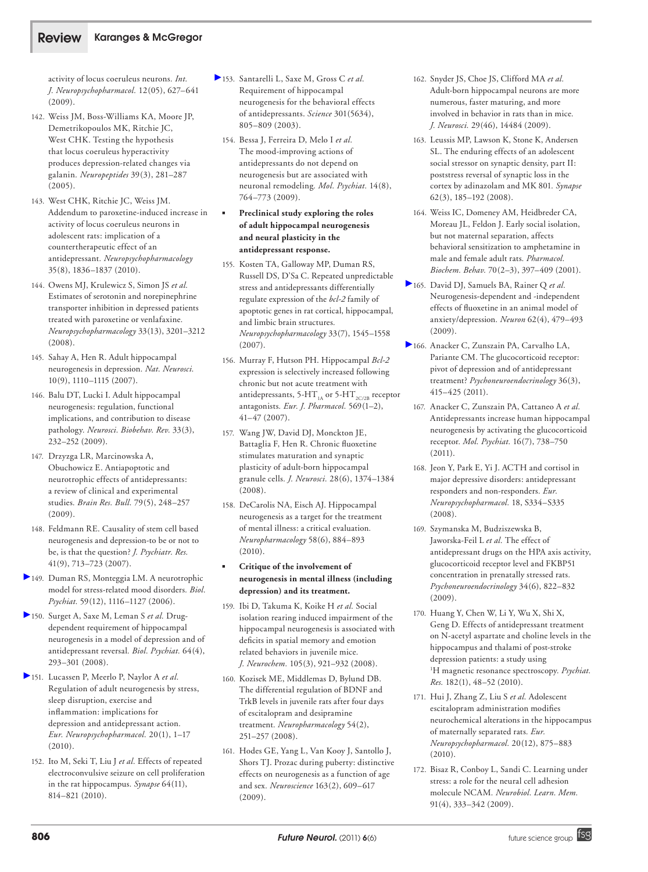# Review Karanges & McGregor

activity of locus coeruleus neurons*. Int. J. Neuropsychopharmacol.* 12(05), 627–641  $(2009)$ 

- 142. Weiss JM, Boss-Williams KA, Moore JP, Demetrikopoulos MK, Ritchie JC, West CHK. Testing the hypothesis that locus coeruleus hyperactivity produces depression-related changes via galanin*. Neuropeptides* 39(3), 281–287  $(2005)$ .
- 143. West CHK, Ritchie JC, Weiss JM. Addendum to paroxetine-induced increase in activity of locus coeruleus neurons in adolescent rats: implication of a countertherapeutic effect of an antidepressant*. Neuropsychopharmacology*  35(8), 1836–1837 (2010).
- 144. Owens MJ, Krulewicz S, Simon JS *et al.* Estimates of serotonin and norepinephrine transporter inhibition in depressed patients treated with paroxetine or venlafaxine*. Neuropsychopharmacology* 33(13), 3201–3212 (2008).
- 145. Sahay A, Hen R. Adult hippocampal neurogenesis in depression*. Nat. Neurosci.*  10(9), 1110–1115 (2007).
- 146. Balu DT, Lucki I. Adult hippocampal neurogenesis: regulation, functional implications, and contribution to disease pathology*. Neurosci. Biobehav. Rev.* 33(3), 232–252 (2009).
- 147. Drzyzga LR, Marcinowska A, Obuchowicz E. Antiapoptotic and neurotrophic effects of antidepressants: a review of clinical and experimental studies*. Brain Res. Bull.* 79(5), 248–257 (2009).
- 148. Feldmann RE. Causality of stem cell based neurogenesis and depression-to be or not to be, is that the question? *J. Psychiatr. Res.*  41(9), 713–723 (2007).
- 149. Duman RS, Monteggia LM. A neurotrophic model for stress-related mood disorders*. Biol. Psychiat.* 59(12), 1116–1127 (2006).
- 150. Surget A, Saxe M, Leman S *et al.* Drugdependent requirement of hippocampal neurogenesis in a model of depression and of antidepressant reversal*. Biol. Psychiat.* 64(4), 293–301 (2008).
- 151. Lucassen P, Meerlo P, Naylor A *et al.* Regulation of adult neurogenesis by stress, sleep disruption, exercise and inflammation: implications for depression and antidepressant action*. Eur. Neuropsychopharmacol.* 20(1), 1–17 (2010).
	- 152. Ito M, Seki T, Liu J *et al.* Effects of repeated electroconvulsive seizure on cell proliferation in the rat hippocampus*. Synapse* 64(11), 814–821 (2010).
- 153. Santarelli L, Saxe M, Gross C *et al.* Requirement of hippocampal neurogenesis for the behavioral effects of antidepressants. *Science* 301(5634), 805–809 (2003).
	- 154. Bessa J, Ferreira D, Melo I *et al.* The mood-improving actions of antidepressants do not depend on neurogenesis but are associated with neuronal remodeling*. Mol. Psychiat.* 14(8), 764–773 (2009).
		- Preclinical study exploring the roles **of adult hippocampal neurogenesis and neural plasticity in the antidepressant response.**
	- 155. Kosten TA, Galloway MP, Duman RS, Russell DS, D'Sa C. Repeated unpredictable stress and antidepressants differentially regulate expression of the *bcl-2* family of apoptotic genes in rat cortical, hippocampal, and limbic brain structures*. Neuropsychopharmacology* 33(7), 1545–1558 (2007).
	- 156. Murray F, Hutson PH. Hippocampal *Bcl-2* expression is selectively increased following chronic but not acute treatment with antidepressants, 5-HT<sub>14</sub> or 5-HT<sub>2C/2B</sub> receptor antagonists*. Eur. J. Pharmacol.* 569(1–2), 41–47 (2007).
	- 157. Wang JW, David DJ, Monckton JE, Battaglia F, Hen R. Chronic fluoxetine stimulates maturation and synaptic plasticity of adult-born hippocampal granule cells*. J. Neurosci.* 28(6), 1374–1384 (2008).
	- 158. DeCarolis NA, Eisch AJ. Hippocampal neurogenesis as a target for the treatment of mental illness: a critical evaluation*. Neuropharmacology* 58(6), 884–893 (2010).
	- <sup>n</sup> **Critique of the involvement of neurogenesis in mental illness (including depression) and its treatment.**
	- 159. Ibi D, Takuma K, Koike H *et al.* Social isolation rearing induced impairment of the hippocampal neurogenesis is associated with deficits in spatial memory and emotion related behaviors in juvenile mice*. J. Neurochem.* 105(3), 921–932 (2008).
	- 160. Kozisek ME, Middlemas D, Bylund DB. The differential regulation of BDNF and TrkB levels in juvenile rats after four days of escitalopram and desipramine treatment*. Neuropharmacology* 54(2), 251–257 (2008).
	- 161. Hodes GE, Yang L, Van Kooy J, Santollo J, Shors TJ. Prozac during puberty: distinctive effects on neurogenesis as a function of age and sex*. Neuroscience* 163(2), 609–617 (2009).
- 162. Snyder JS, Choe JS, Clifford MA *et al.* Adult-born hippocampal neurons are more numerous, faster maturing, and more involved in behavior in rats than in mice*. J. Neurosci.* 29(46), 14484 (2009).
- 163. Leussis MP, Lawson K, Stone K, Andersen SL. The enduring effects of an adolescent social stressor on synaptic density, part II: poststress reversal of synaptic loss in the cortex by adinazolam and MK 801*. Synapse*  62(3), 185–192 (2008).
- 164. Weiss IC, Domeney AM, Heidbreder CA, Moreau JL, Feldon J. Early social isolation, but not maternal separation, affects behavioral sensitization to amphetamine in male and female adult rats*. Pharmacol. Biochem. Behav.* 70(2–3), 397–409 (2001).
- 165. David DJ, Samuels BA, Rainer Q *et al.* Neurogenesis-dependent and -independent effects of fluoxetine in an animal model of anxiety/depression*. Neuron* 62(4), 479–493 (2009).
- 166. Anacker C, Zunszain PA, Carvalho LA, Pariante CM. The glucocorticoid receptor: pivot of depression and of antidepressant treatment? *Psychoneuroendocrinology* 36(3), 415–425 (2011).
	- 167. Anacker C, Zunszain PA, Cattaneo A *et al.* Antidepressants increase human hippocampal neurogenesis by activating the glucocorticoid receptor*. Mol. Psychiat.* 16(7), 738–750 (2011).
	- 168. Jeon Y, Park E, Yi J. ACTH and cortisol in major depressive disorders: antidepressant responders and non-responders*. Eur. Neuropsychopharmacol.* 18, S334–S335 (2008).
	- 169. Szymanska M, Budziszewska B, Jaworska-Feil L *et al.* The effect of antidepressant drugs on the HPA axis activity, glucocorticoid receptor level and FKBP51 concentration in prenatally stressed rats*. Psychoneuroendocrinology* 34(6), 822–832 (2009).
- 170. Huang Y, Chen W, Li Y, Wu X, Shi X, Geng D. Effects of antidepressant treatment on N-acetyl aspartate and choline levels in the hippocampus and thalami of post-stroke depression patients: a study using 1 H magnetic resonance spectroscopy*. Psychiat. Res.* 182(1), 48–52 (2010).
- 171. Hui J, Zhang Z, Liu S *et al.* Adolescent escitalopram administration modifies neurochemical alterations in the hippocampus of maternally separated rats*. Eur. Neuropsychopharmacol.* 20(12), 875–883 (2010).
- 172. Bisaz R, Conboy L, Sandi C. Learning under stress: a role for the neural cell adhesion molecule NCAM*. Neurobiol. Learn. Mem.*  91(4), 333–342 (2009).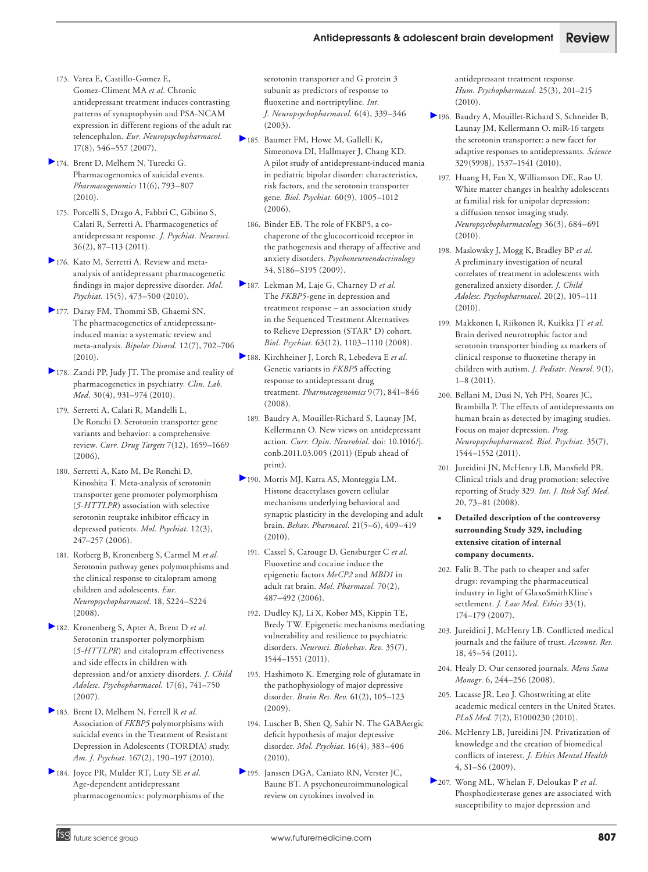- 173. Varea E, Castillo-Gomez E, Gomez-Climent MA *et al.* Chronic antidepressant treatment induces contrasting patterns of synaptophysin and PSA-NCAM expression in different regions of the adult rat telencephalon*. Eur. Neuropsychopharmacol.*  17(8), 546–557 (2007).
- 174. Brent D, Melhem N, Turecki G. Pharmacogenomics of suicidal events*. Pharmacogenomics* 11(6), 793–807 (2010).
- 175. Porcelli S, Drago A, Fabbri C, Gibiino S, Calati R, Serretti A. Pharmacogenetics of antidepressant response*. J. Psychiat. Neurosci.*  36(2), 87–113 (2011).
- 176. Kato M, Serretti A. Review and metaanalysis of antidepressant pharmacogenetic findings in major depressive disorder*. Mol. Psychiat.* 15(5), 473–500 (2010).
- 177. Daray FM, Thommi SB, Ghaemi SN. The pharmacogenetics of antidepressantinduced mania: a systematic review and meta-analysis*. Bipolar Disord.* 12(7), 702–706 (2010).
- 178. Zandi PP, Judy JT. The promise and reality of pharmacogenetics in psychiatry*. Clin. Lab. Med.* 30(4), 931–974 (2010).
	- 179. Serretti A, Calati R, Mandelli L, De Ronchi D. Serotonin transporter gene variants and behavior: a comprehensive review*. Curr. Drug Targets* 7(12), 1659–1669  $(2006)$
	- 180. Serretti A, Kato M, De Ronchi D, Kinoshita T. Meta-analysis of serotonin transporter gene promoter polymorphism (*5-HTTLPR*) association with selective serotonin reuptake inhibitor efficacy in depressed patients*. Mol. Psychiat.* 12(3), 247–257 (2006).
	- 181. Rotberg B, Kronenberg S, Carmel M *et al.* Serotonin pathway genes polymorphisms and the clinical response to citalopram among children and adolescents*. Eur. Neuropsychopharmacol.* 18, S224–S224 (2008).
- 182. Kronenberg S, Apter A, Brent D *et al.* Serotonin transporter polymorphism (*5-HTTLPR*) and citalopram effectiveness and side effects in children with depression and/or anxiety disorders*. J. Child Adolesc. Psychopharmacol.* 17(6), 741–750 (2007).
- 183. Brent D, Melhem N, Ferrell R *et al.* Association of *FKBP5* polymorphisms with suicidal events in the Treatment of Resistant Depression in Adolescents (TORDIA) study*. Am. J. Psychiat.* 167(2), 190–197 (2010).
- 184. Joyce PR, Mulder RT, Luty SE *et al.* Age-dependent antidepressant pharmacogenomics: polymorphisms of the

serotonin transporter and G protein 3 subunit as predictors of response to fluoxetine and nortriptyline*. Int. J. Neuropsychopharmacol.* 6(4), 339–346 (2003).

- [1](http://www.futuremedicine.com/action/showLinks?doi=10.2217%2Ffnl.11.51&crossref=10.1016%2Fj.biopsych.2006.06.010&coi=1%3ACAS%3A528%3ADC%252BD28XhtFSksLzO&citationId=p_194)85. Baumer FM, Howe M, Gallelli K, Simeonova DI, Hallmayer J, Chang KD. A pilot study of antidepressant-induced mania in pediatric bipolar disorder: characteristics, risk factors, and the serotonin transporter gene*. Biol. Psychiat.* 60(9), 1005–1012 (2006).
	- 186. Binder EB. The role of FKBP5, a cochaperone of the glucocorticoid receptor in the pathogenesis and therapy of affective and anxiety disorders*. Psychoneuroendocrinology*  34, S186–S195 (2009).
- [1](http://www.futuremedicine.com/action/showLinks?doi=10.2217%2Ffnl.11.51&pmid=18191112&crossref=10.1016%2Fj.biopsych.2007.10.026&coi=1%3ACAS%3A528%3ADC%252BD1cXmsFOjt7w%253D&citationId=p_196)87. Lekman M, Laje G, Charney D *et al.* The *FKBP5*-gene in depression and treatment response – an association study in the Sequenced Treatment Alternatives to Relieve Depression (STAR\* D) cohort*. Biol. Psychiat.* 63(12), 1103–1110 (2008).
- [1](http://www.futuremedicine.com/action/showLinks?doi=10.2217%2Ffnl.11.51&system=10.2217%2F14622416.9.7.841&coi=1%3ACAS%3A528%3ADC%252BD1cXotVCjtrk%253D&citationId=p_197)88. Kirchheiner J, Lorch R, Lebedeva E *et al.* Genetic variants in *FKBP5* affecting response to antidepressant drug treatment*. Pharmacogenomics* 9(7), 841–846 (2008).
	- 189. Baudry A, Mouillet-Richard S, Launay JM, Kellermann O. New views on antidepressant action*. Curr. Opin. Neurobiol.* doi: 10.1016/j. conb.2011.03.005 (2011) (Epub ahead of print).
- [1](http://www.futuremedicine.com/action/showLinks?doi=10.2217%2Ffnl.11.51&pmid=20555253&crossref=10.1097%2FFBP.0b013e32833c20c0&citationId=p_199)90. Morris MJ, Karra AS, Monteggia LM. Histone deacetylases govern cellular mechanisms underlying behavioral and synaptic plasticity in the developing and adult brain*. Behav. Pharmacol.* 21(5–6), 409–419 (2010).
	- 191. Cassel S, Carouge D, Gensburger C *et al.* Fluoxetine and cocaine induce the epigenetic factors *MeCP2* and *MBD1* in adult rat brain*. Mol. Pharmacol.* 70(2), 487–492 (2006).
	- 192. Dudley KJ, Li X, Kobor MS, Kippin TE, Bredy TW. Epigenetic mechanisms mediating vulnerability and resilience to psychiatric disorders*. Neurosci. Biobehav. Rev.* 35(7), 1544–1551 (2011).
	- 193. Hashimoto K. Emerging role of glutamate in the pathophysiology of major depressive disorder*. Brain Res. Rev.* 61(2), 105–123 (2009).
	- 194. Luscher B, Shen Q, Sahir N. The GABAergic deficit hypothesis of major depressive disorder*. Mol. Psychiat.* 16(4), 383–406 (2010).
- [1](http://www.futuremedicine.com/action/showLinks?doi=10.2217%2Ffnl.11.51&pmid=20373471&crossref=10.1002%2Fhup.1103&coi=1%3ACAS%3A528%3ADC%252BC3cXnt1Kjt7Y%253D&citationId=p_204)95. Janssen DGA, Caniato RN, Verster JC, Baune BT. A psychoneuroimmunological review on cytokines involved in

antidepressant treatment response*. Hum. Psychopharmacol.* 25(3), 201–215  $(2010)$ .

- [1](http://www.futuremedicine.com/action/showLinks?doi=10.2217%2Ffnl.11.51&crossref=10.1126%2Fscience.1193692&coi=1%3ACAS%3A528%3ADC%252BC3cXhtFGjtLrP&citationId=p_205)96. Baudry A, Mouillet-Richard S, Schneider B, Launay JM, Kellermann O. miR-16 targets the serotonin transporter: a new facet for adaptive responses to antidepressants*. Science*  329(5998), 1537–1541 (2010).
	- 197. Huang H, Fan X, Williamson DE, Rao U. White matter changes in healthy adolescents at familial risk for unipolar depression: a diffusion tensor imaging study*. Neuropsychopharmacology* 36(3), 684–691 (2010).
	- 198. Maslowsky J, Mogg K, Bradley BP *et al.* A preliminary investigation of neural correlates of treatment in adolescents with generalized anxiety disorder*. J. Child Adolesc. Psychopharmacol.* 20(2), 105–111 (2010).
	- 199. Makkonen I, Riikonen R, Kuikka JT *et al.* Brain derived neurotrophic factor and serotonin transporter binding as markers of clinical response to fluoxetine therapy in children with autism*. J. Pediatr. Neurol.* 9(1), 1–8 (2011).
	- 200. Bellani M, Dusi N, Yeh PH, Soares JC, Brambilla P. The effects of antidepressants on human brain as detected by imaging studies. Focus on major depression*. Prog. Neuropsychopharmacol. Biol. Psychiat.* 35(7), 1544–1552 (2011).
	- 201. Jureidini JN, McHenry LB, Mansfield PR. Clinical trials and drug promotion: selective reporting of Study 329*. Int. J. Risk Saf. Med.*  20, 73–81 (2008).
	- <sup>n</sup> **Detailed description of the controversy surrounding Study 329, including extensive citation of internal company documents.**
- 202. Falit B. The path to cheaper and safer drugs: revamping the pharmaceutical industry in light of GlaxoSmithKline's settlement*. J. Law Med. Ethics* 33(1), 174–179 (2007).
- 203. Jureidini J, McHenry LB. Conflicted medical journals and the failure of trust*. Account. Res.*  18, 45–54 (2011).
- 204. Healy D. Our censored journals*. Mens Sana Monogr.* 6, 244–256 (2008).
- 205. Lacasse JR, Leo J. Ghostwriting at elite academic medical centers in the United States*. PLoS Med.* 7(2), E1000230 (2010).
- 206. McHenry LB, Jureidini JN. Privatization of knowledge and the creation of biomedical conflicts of interest*. J. Ethics Mental Health*  4, S1–S6 (2009).
- [2](http://www.futuremedicine.com/action/showLinks?doi=10.2217%2Ffnl.11.51&pmid=17008408&crossref=10.1073%2Fpnas.0602795103&citationId=p_217)07. Wong ML, Whelan F, Deloukas P *et al.* Phosphodiesterase genes are associated with susceptibility to major depression and